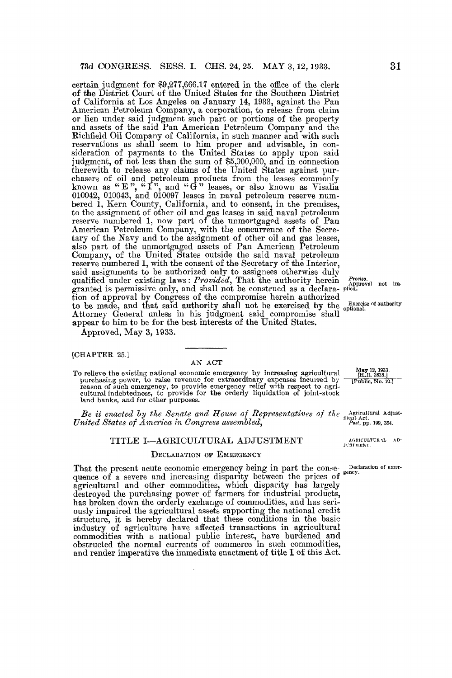certain judgment for \$9,277,666 .17 entered in the office of the clerk of the District Court of the United States for the Southern District of California at Los Angeles on January 14, 1933, against the Pan American Petroleum Company, a corporation, to release from claim or lien under said judgment such part or portions of the property and assets of the said Pan American Petroleum Company and the Richfield Oil Company of California, in such manner and with such reservations as shall seem to him proper and advisable, in consideration of payments to the United States to apply upon said judgment, of not less than the sum of \$5,000,000, and in connection therewith to release any claims of the United States against purchasers of oil and petroleum products from the leases commonly known as " E", " $1$ ", and " G" leases, or also known as Visalia 010042, 010043, and 010097 leases in naval petroleum reserve numbered 1, Kern County, California, and to consent, in the premises, to the assignment of other oil and gas leases in said naval petroleum reserve numbered 1, now part of the unmortgaged assets of Pan American Petroleum Company, with the concurrence of the Secretary of the Navy and to the assignment of other oil and gas leases, also part of the unmortgaged assets of Pan American Petroleum Company, of the United States outside the said naval petroleum reserve numbered 1, with the consent of the Secretary of the Interior, said assignments to be authorized only to assignees otherwise duly qualified under existing laws: Provided, That the authority herein  $\frac{1}{\text{Approx}}$  not im-<br>granted is permissive only, and shall not be construed as a declara- plied. tion of approval by Congress of the compromise herein authorized to be made, and that said authority shall not be exercised by the  $\frac{exercises of author}{optional}$ . Attorney General unless in his judgment said compromise shall appear to him to be for the best interests of the United States. granted is permissive only, and shall not be construed as a declara-pilotical<br>tion of approval by Congress of the compromise herein authorized<br>to be made, and that said authority shall not be exercised by the  $\frac{p}{p}$ <br>ac

Approved, May 3, 1933 .

[CHAPTER 25.]

AN ACT<br>To relieve the existing national economic emergency by increasing agricultural To relieve the existing national economic emergency by increasing agricultural purenasing power, to raise revenue for extraordinary expenses incurred by reason of such emergency, to provide emergency relief with respect to agricultural indebtedness, to provide for the orderly liquidation of joint-sto

Be it enacted by the Senate and House of Representatives of the  $\frac{1}{2}$  representatives of  $\frac{1}{2}$  representatives of  $\frac{1}{2}$  $United\ States\ of\ America\ in\ Congress\ assembled, \begin{array}{cc} In\\ \end{array}$  and  $199, 354.$ 

#### TITLE I-AGRICULTURAL ADJUSTMENT

#### DECLARATION OF EMERGENCY

That the present acute economic emergency being in part the conse- Declaration of emerquence of a severe and increasing disparity between the prices of agricultural and other commodities, which disparity has largely destroyed the purchasing power of farmers for industrial products, has broken down the orderly exchange of commodities, and has seriously impaired the agricultural assets supporting the national credit structure, it is hereby declared that these conditions in the basic industry of agriculture have affected transactions in agricultural commodities with a national public interest, have burdened and obstructed the normal currents of commerce in such commodities, and render imperative the immediate enactment of title I of this Act.

 $\overline{\textbf{H.R.}}\,\, 3835$ May 12, 1933.<br>[H.R. 3835.]<br>[Public, No. 10.]

AGRICULTUR AL AD-Hent Ret.<br>Post, pp.<br>AGRICUL'<br>JUSTMENT.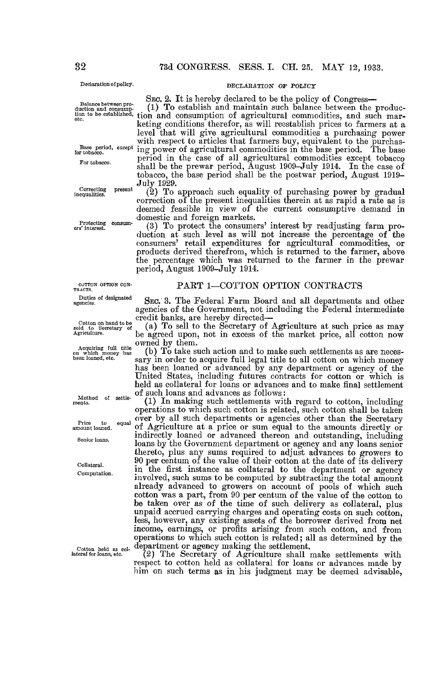duction consump-

inequalities

Protecting consum-<br>ers' interest.

CUTTON OPTION CON-<br>TRACTS.

Duties of designated

sold to See<br>Agriculture. Cotton on hand to be<br>Id to Secretary of

Acquiring full title<br>on which money has

Method of settle-<br>ments.

Price to<br>amount loaned. . equal

# Declaration of policy. DECLARATION OF POLICY

SEo. 2. It is hereby declared to be the policy of Congress-

 $(1)$  To establish and maintain such balance between the production to be established, tion and consumption of agricultural commodities, and such marketing conditions therefor, as will reestablish prices to farmers at a level that will give agricultural commodities a purchasing power with respect to articles that farmers buy, equivalent to the purchas-Base period, except ing power of agricultural commodities in the base period. The base For tobacco . period in the case of all agricultural commodities except tobacco shall be the prewar period, August 1909-July 1914. In the case of tobacco, the base period shall be the postwar period, August 1919- July 1929.

Correcting present  $(2)$  To approach such equality of purchasing power by gradual correction of the present inequalities therein at as rapid a rate as is deemed feasible in view of the current consumptive demand in domestic and foreign markets.

ers interest. Consumers (3) To protect the consumers' interest by readjusting farm production at such level as will not increase the percentage of the consumers' retail expenditures for agricultural commodities, or products derived therefrom, which is returned to the farmer, above the percentage which was returned to the farmer in the prewar period, August 1909-July 1914.

## PART 1-COTTON OPTION CONTRACTS

SEC. 3. The Federal Farm Board and all departments and other agencies of the Government, not including the Federal intermediate credit banks, are hereby directed-

(a) To sell to the Secretary of Agriculture at such price as may Agriculture . be agreed upon, not in excess of the market price, all cotton now owned by them.

(b) To take such action and to make such settlements as are necessary in order to acquire full legal title to all cotton on which money has been loaned or advanced by any department or agency of the United States, including futures contracts for cotton or which is held as collateral for loans or advances and to make final settlement of such loans and advances as follows

(1) In making such settlements with regard to cotton, including operations to which such cotton is related, such cotton shall be taken over by all such departments or agencies other than the Secretary of Agriculture at a price or sum equal to the amounts directly or indirectly loaned or advanced thereon and outstanding, including indirectly loaned or advanced thereon and outstanding, including senior loans. loans by the Government department or agency and any loans senior thereto, plus any sums required to adjust advances to growers to Collateral. 90 per centum of the value of their cotton at the date of its delivery in the first instance as collateral to the department or agency in the first instance as collateral to the department or agency Computation. involved, such sums to be computed by subtracting the total amount already advanced to growers on account of pools of which such cotton was a part, from 90 per centum of the value of the cotton to be taken over as of the time of such delivery as collateral, plus unpaid accrued carrying charges and operating costs on such cotton, less, however, any existing assets of the borrower derived from net income, earnings, or profits arising from such cotton, and from operations to which such cotton is related ; all as determined by the Cotton held as col- department or agency making the settlement,<br>lateral for loans, etc. (2) The Secretary of Agriculture shall i

 $(2)$  The Secretary of Agriculture shall make settlements with respect to cotton held as collateral for loans or advances made by him on such terms as in his judgment may be deemed advisable,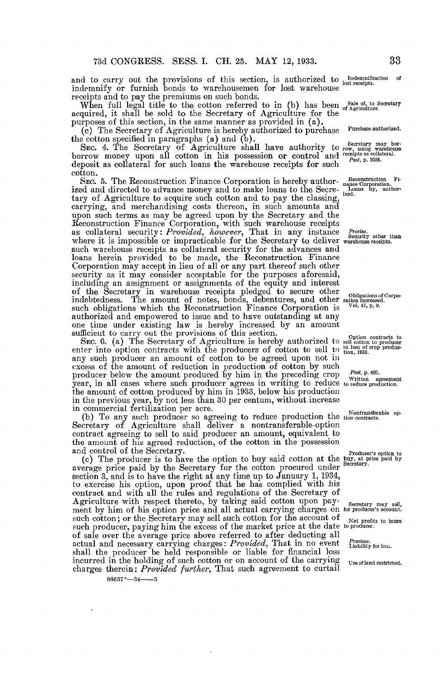and to carry out the provisions of this section, is authorized to  $\frac{1}{\text{lost receptors}}$  or indemnify or furnish bonds to warehousemen for lost warehouse receipts and to pay the premiums on such bonds.

When full legal title to the cotton referred to in (b) has been  $\frac{\text{Sale of, to Secretary}}{\text{of Agriculture}}$ acquired, it shall be sold to the Secretary of Agriculture for the purposes of this section, in the same manner as provided in (a) .

(c) The Secretary of Agriculture is hereby authorized to purchase Purchase authorized.<br>the cotton specified in paragraphs (a) and (b).

the cotton specified in paragraphs (a) and (b).<br>Sec. 4. The Secretary of Agriculture shall have authority to rewinted warehouse borrow money upon all cotton in his possession or control and receipts as collateral. deposit as collateral for such loans the warehouse receipts for such cotton.

SEC. 5. The Reconstruction Finance Corporation is hereby author-<br>hadded and directed to advance money and to make loans to the Secre-  $\frac{L}{1,0.0018}$  by, authortary of Agriculture to acquire such cotton and to pay the classing ized and directed to advance money and to make loans the Secrecarrying, and merchandising costs thereon, in such amounts and upon such terms as may be agreed upon by the Secretary and the Reconstruction Finance Corporation, with such warehouse receipts as collateral security: Provided, however, That in any instance Proviso.<br>where it is impossible or impracticable for the Secretary to deliver warehouse receipts. such warehouse receipts as collateral security for the advances and loans herein provided to be made, the Reconstruction Finance Corporation may accept in lieu of all or any part thereof such other security as it may consider acceptable for the purposes aforesaid, including an assignment or assignments of the equity and interest of the Secretary in warehouse receipts pledged to secure other  $\frac{1}{\text{obligations of Corpo}}$ <br>indebtedness. The amount of notes, bonds, debentures, and other ration increased.<br>such obligations which the Beconstruction Finance Corporat such obligations which the Reconstruction Finance Corporation is authorized and empowered to issue and to have outstanding at any one time under existing law is hereby increased by an amount sufficient to carry out the provisions of this section.

SEC. 6. (a) The Secretary of Agriculture is hereby authorized to sell contracts to SEC. 6. (a) The Secretary of Agriculture is hereby authorized to sell cotton producers enter into option contracts with the producers of cotton to sell to  $\lim_{\epsilon \to 0} \lim_{n \to \infty} \lim_{n \to \infty}$ any such producer an amount of cotton to be agreed upon not in excess of the amount of reduction in production of cotton by such producer below the amount produced by him in the preceding crop To the agreement year, in all cases where such producer agrees in writing to reduce to reduce production. the amount of cotton produced by him in 1933, below his production in the previous year, by not less than 30 per centum, without increase

In commercial fertilization per acre.<br>
(b) To any such producer so agreeing to reduce production the tion contracts. Secretary of Agriculture shall deliver a nontransferable-option contract agreeing to sell to said producer an amount, equivalent to the amount of his agreed reduction, of the cotton in the possession and control of the Secretary.

and control of the Secretary.<br>
(c) The producer is to have the option to buy said cotton at the buy, at price paid by<br>
Secretary. average price paid by the Secretary for the cotton procured under section 3, and is to have the right at any time up to January 1, 1034, to exercise his option, upon proof that he has complied with his contract and with all the rules and regulations of the Secretary of Agriculture with respect thereto, by taking said cotton upon pay- Secretary may sell, ment by him of his option price and all actual carrying charges on for producer's account. such cotton; or the Secretary may sell such cotton for the account of Net profits to inure such producer, paying him the excess of the market price at the date to producer . of sale over the average price above referred to after deducting all  $\alpha$  actual and necessary carrying charges:  $Provided$ , That in no event  $\frac{1}{\text{Liability for loss}}$ . shall the producer be held responsible or liable for financial loss incurred in the holding of such cotton or on account of the carrying Use of land restricted.<br>charges therein: *Provided further*, That such agreement to curtail

 $86637° - 34 - 3$ 

33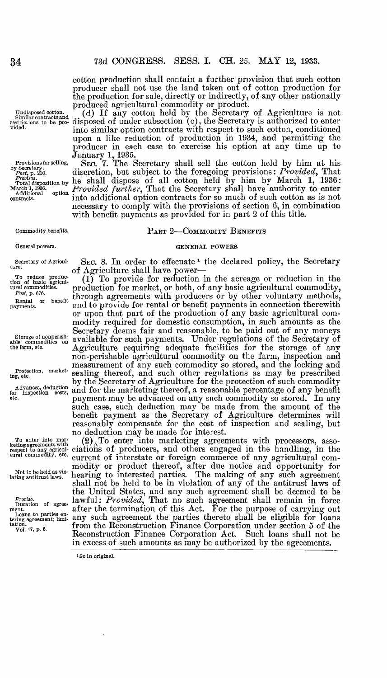cotton production shall contain a further provision that such cotton producer shall not use the land taken out of cotton production for the production for sale, directly or indirectly, of any other nationally produced agricultural commodity or product .

(d) If any cotton held by the Secretary of Agriculture is not disposed of under subsection (c), the Secretary is authorized to enter into similar option contracts with respect to such cotton, conditioned upon a like reduction of production in 1934, and permitting the producer in each case to exercise his option at any time up to producer in each case to exercise his option at any time up to January 1, 1935.

SEC. *T*. The Secretary shall sell the cotton held by him at his discretion, but subject to the foregoing provisions: Provided, That he shall dispose of all cotton held by him by March 1, 1936 : Provided further, That the Secretary shall have authority to enter into additional option contracts for so much of such cotton as is not necessary to comply with the provisions of section 6, in combination with benefit payments as provided for in part 2 of this title.

#### PART 2-COMMODITY BENEFITS

#### GENERAL POWERS

SEC. 8. In order to effecuate  $1$  the declared policy, the Secretary of Agriculture shall have power-

 $(1)$  To provide for reduction in the acreage or reduction in the production for market, or both, of any basic agricultural commodity, production for market, or both, of any basic agricultural commodity, through agreements with producers or by other voluntary methods, and to provide for rental or benefit payments in connection therewith or upon that part of the production of any basic agricultural commodity required for domestic consumption, in such amounts as the Secretary deems fair and reasonable, to be paid out of any moneys available for such payments . Under regulations of the Secretary of Agriculture requiring adequate facilities for the storage of any non-perishable agricultural commodity on the farm, inspection and measurement of any such commodity so stored, and the locking and sealing thereof, and such other regulations as may be prescribed by the Secretary of Agriculture for the protection of such commodity and for the marketing thereof, a reasonable percentage of any benefit payment may be advanced on any such commodity so stored. In any such case, such deduction may be made from the amount of the benefit payment as the Secretary of Agriculture determines will reasonably compensate for the cost of inspection and sealing, but no deduction may be made for interest.

 $(2)$ <sup>To</sup> enter into marketing agreements with processors, associations of producers, and others engaged in the handling, in the current of interstate or foreign commerce of any agricultural comcurrent of interstate or foreign commerce of any agricultural commodity or product thereof, after due notice and opportunity for hearing to interested parties. The making of any such agreement shall not be held to be in violation of any of the antitrust laws of the United States, and any such agreement shall be deemed to be  $l$ awful: *Provided*, That no such agreement shall remain in force after the termination of this Act . For the purpose of carrying out any such agreement the parties thereto shall be eligible for loans from the Reconstruction Finance Corporation under section 5 of the Reconstruction Finance Corporation Act . Such loans shall not be in excess of such amounts as may be authorized by the agreements.

1So in original.

Undisposed cotton.<br>
Similar contracts and<br>
restrictions to be pro-<br>
vided.

Provisions for selling,<br>
by Secretary .<br>
Post, p. 210.<br>
Provisos.<br>
March 1, 1936.<br>
March 1, 1936.<br>
Additional option

contracts .

Commodity benefits.

General powers.

Secretary of Agriculture.

To reduce produe-tion of basic agricul $t$ ural commodities.<br> $Post$ , p. 676.

Rental or benefit<br>payments.

Storage of nonperish-able commodities on the farm, etc.

Protection, marketing, etc.

Advances, deduction<br>for inspection costs, inspection ...<br>etc.

To enter into mar-keting agreements with respect to any agricul-tural commodity, etc .

Not to be held as vio-lating antitrust laws .

Proviso.<br>Duration of agreement . Loans to parties en-tering agreement ; limi-tation . Vol . 47, p. 6.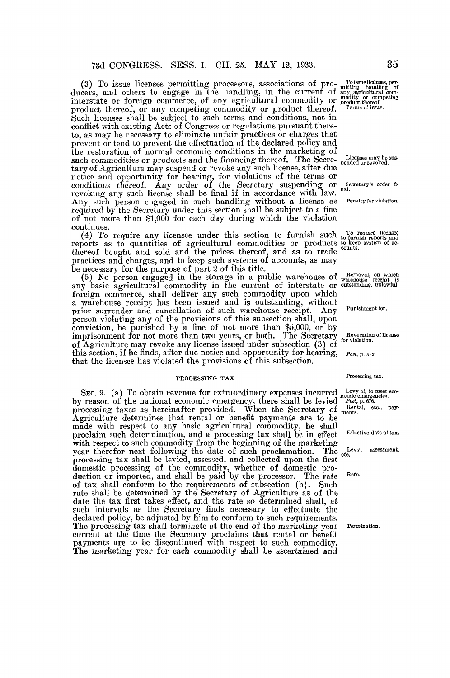(3) To issue licenses permitting processors, associations of pro-<br>ducers, and others to engage in the handling, in the current of any agricultural com-<br>direction and different of any agricultural cominterstate or foreign commerce, of any agricultural commodity or product thereof. product thereof, or any competing commodity or product thereof. Such licenses shall be subject to such terms and conditions, not in conflict with existing Acts of Congress or regulations pursuant thereto, as may be necessary to eliminate unfair practices or charges that prevent or tend to prevent the effectuation of the declared policy and the restoration of normal economic conditions in the marketing of such commodities or products and the financing thereof. The Secretary of Agriculture may suspend or revoke any such license, after due notice and opportunity for hearing, for violations of the terms or conditions thereof. Any order of the Secretary suspending or revoking any such license shall be final if in accordance with law. " Any such person engaged in such handling without a license as required by the Secretary under this section shall be subject to a fine of not more than \$1,000 for each day during which the violation continues.

(4) To require any licensee under this section to furnish such reports as to quantities of agricultural commodities or products thereof bought and sold and the prices thereof, and as to trade practices and charges, and to keep such systems of accounts, as may be necessary for the purpose of part 2 of this title.

(5) No person engaged in the storage in a public warehouse of any basic agricultural commodity in the current of interstate or foreign commerce, shall deliver any such commodity upon which a warehouse receipt has been issued and is outstanding, without prior surrender and cancellation of such warehouse receipt. Any person violating any of the provisions of this subsection shall, upon conviction, be punished by a fine of not more than \$5,000, or by imprisonment for not more than two years, or both. The Secretary Reveation. of Agriculture may revoke any license issued under subsection (3) of this section, if he finds, after due notice and opportunity for hearing, that the licensee has violated the provisions of this subsection.

#### PROCESSING TAX

SEC. 9. (a) To obtain revenue for extraordinary expenses incurred by reason of the national economic emergency, there shall be levied processing taxes as hereinafter provided. When the Secretary of ments. Agriculture determines that rental or benefit payments are to be made with respect to any basic agricultural commodity, he shall proclaim such determination, and a processing tax shall be in effect with respect to such commodity from the beginning of the marketing year therefor next following the date of such proclamation . The processing tax shall be levied, assessed, and collected upon the first domestic processing of the commodity, whether of domestic production or imported, and shall be paid by the processor. The rate of tax shall conform to the requirements of subsection (b). Such rate shall be determined by the Secretary of Agriculture as of the date the tax first takes effect, and the rate so determined shall, at such intervals as the Secretary finds necessary to effectuate the declared policy, be adjusted by him to conform to such requirements. The processing tax shall terminate at the end of the marketing year current at the time the Secretary proclaims that rental or benefit payments are to be discontinued with respect to such commodity. The marketing year for each commodity shall be ascertained and

Secretary's order fi-

Penalty for violation.

To require licensee to furnish reports and to keep system of ac-counts .

Removal, on which warehouse receipt is outstanding, unlawful .

Punishment for.

Revocation of license

Post, p. 672.

#### Processing tax.

Levy of, to meet eco-nomic emergencies . Post, p. 676 .

Rental, etc., pay-

Effective date of tax.

Levy, assessment, etc.

Rate.

Termination.

35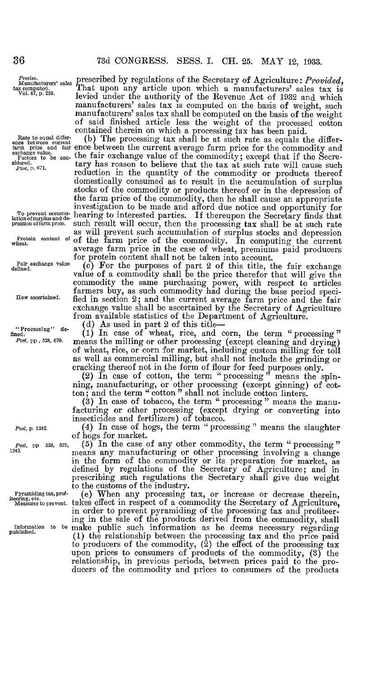Proviso. tax computed .

Rate to equal differ-

To prevent accumulation of surplus and depression of farm price.

 $\mathbf{w}$  heat.

Fair exchange value<br>defined.

"Processing" de- $Post,$  pp , 528, 670.

Post, p. 1242.

Post, pp 528, 675, 1242.

Pyramiding tax, prof-<br>iteering, etc.<br>Measures to prevent.

prescribed by regulations of the Secretary of Agriculture: Provided, That upon any article upon which a manufacturers' sales tax is levied under the authority of the Revenue Act of 1932 and which manufacturers' sales tax is computed on the basis of weight, such manufacturers' sales tax shall be computed on the basis of the weight of said finished article less the weight of the processed cotton 36 73d CONGRESS. SESS. I. CH. 25. MAY 12, 1933.<br>
Provide the Manufacturers' sales prescribed by regulations of the Secretary of Agriculture: *Provided*<br>  $\frac{V_{01.47, p.250}}{V_{01.47, p.250}}$ . That upon any article upon which 36 73d CONGRESS. SESS. I. CH. 25. MAY 12, 1933.<br> *Proviso.*<br>
Manufacturers' sales preseribed by regulations of the Secretary of Agriculture: *Provided*<br>
as emputed:<br>
<sup>Tol.47, p. 239. Ievied under the authority of the Reve</sup>

contained therein on which a processing tax has been paid.<br>(b) The processing tax shall be at such rate as equals the differfarm price and fair ence between the current average farm price for the commodity and<br>exchange value of the commodity; except that if the Secre-<br> $\frac{\text{Factors to be con.}}{\text{stdered.}}$  tary has reason to believe that the tax at such rate reduction in the quantity of the commodity or products thereof domestically consumed as to result in the accumulation of surplus stocks of the commodity or products thereof or in the depression of the farm price of the commodity, then he shall cause an appropriate investigation to be made and afford due notice and opportunity for hearing to interested parties. If thereupon the Secretary finds that such result will occur, then the processing tax shall be at such rate as will prevent such accumulation of surplus stocks and depression Protein content of of the farm price of the commodity. In computing the current average farm price in the case of wheat, premiums paid producers for protein content shall not be taken into account.

 $\frac{c}{\text{define}}$  and  $\frac{c}{\text{def}}$  for the purposes of part 2 of this title, the fair exchange value of a commodity shall be the price therefor that will give the commodity the same purchasing power, with respect to articles farmers buy, as such commodity had during the base period speci-How ascertained. fied in section 2; and the current average farm price and the fair exchange value shall be ascertained by the Secretary of Agriculture from available statistics of the Department of Agriculture .

"Processing" de  $\begin{array}{c} (d)$  As used in part 2 of this title- $(1)$  in case of wheat, rice, and corn, the term " processing" Post, pp, 528, 670 . means the milling or other processing (except cleaning and drying) of wheat, rice, or corn for market, including custom milling for toll as well as commercial milling, but shall not include the grinding or cracking thereof not in the form of flour for feed purposes only .

(2) In case of cotton, the term "processing" means the spinning, manufacturing, or other processing (except ginning) of cotton; and the term " cotton" shall not include cotton linters.

(3) In case of tobacco, the term "processing" means the manufacturing or other processing (except drying or converting into insecticides and fertilizers) of tobacco .

(4) In case of hogs, the term " processing " means the slaughter of hogs for market.

(5) In the case of any other commodity, the term "processing" 1242. means any manufacturing or other processing involving a change in the form of the commodity or its preparation for market, as defined by regulations of the Secretary of Agriculture; and in prescribing such regulations the Secretary shall give due weight to the customs of the industry.<br>(e) When any processing tax, or increase or decrease therein,

takes effect in respect of a commodity the Secretary of Agriculture, Measures to prevent . takes effect in respect of a commodity the Secretary of Agriculture, in order to prevent pyramiding of the processing tax and profiteering in the sale of the products derived from the commodity, shall Information to be make public such information as he deems necessary regarding published. (1) the relationship between the processing tax and the price paid (1) the relationship between the processing  $\text{tax}$  and the price paid to producers of the commodity, (2) the effect of the processing  $\text{tax}$ upon prices to consumers of products of the commodity, (3) the relationship, in previous periods, between prices paid to the producers of the commodity and prices to consumers of the products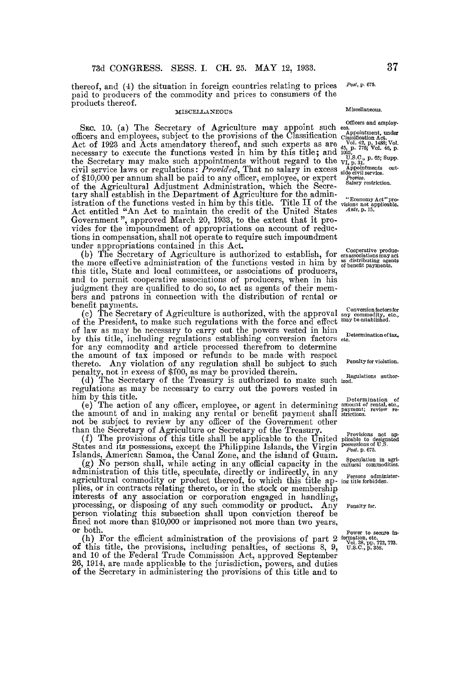thereof, and (4) the situation in foreign countries relating to prices paid to producers of the commodity and prices to consumers of the products thereof.

#### MISCELLANEOUS

SEC. 10. (a) The Secretary of Agriculture may appoint such officers and employees, subject to the provisions of the Classification Act of 1923 and Acts amendatory thereof, and such experts as are necessary to execute the functions vested in him by this title; and the Secretary may make such appointments without regard to the civil service laws or regulations:  $Provaaa$ , I hat no salary in excess of \$10,000 per annum shall be paid to any officer, employee, or expert of the Agricultural Adjustment Administration, which the Secretary shall establish in the Department of Agriculture for the administration of the functions vested in him by this title. Title II of the Act entitled "An Act to maintain the credit of the United States Government ", approved March 20, 1933, to the extent that it provides for the impoundment of appropriations on account of reductions in compensation, shall not operate to require such impoundment under appropriations contained in this Act. under appropriations contained in this Act.

(b) The Secretary of Agriculture is authorized to establish, for the more effective administration of the functions vested in him by this title, State and local committees, or associations of producers, and to permit cooperative associations of producers, when in his judgment they are qualified to do so, to act as agents of their members and patrons in connection with the distribution of rental or benefit payments. benefit payments.

(c) The Secretary of Agriculture is authorized, with the approval of the President, to make such regulations with the force and effect of law as may be necessary to carry out the powers vested in him by this title, including regulations establishing conversion factors for any commodity and article processed therefrom to determine the amount of tax imposed or refunds to be made with respect thereto. Any violation of any regulation shall be subject to such penalty, not in excess of \$100, as may be provided therein .

(d) The Secretary of the Treasury is authorized to make such ized. regulations as may be necessary to carry out the powers vested in him by this title .

(e) The action of any officer, employee, or agent in determining the amount of and in making any rental or benefit payment shall not be subject to review by any officer of the Government other than the Secretary of Agriculture or Secretary of the Treasury. than the Secretary of Agriculture or Secretary of the Treasury .

(f) The provisions of this title shall be applicable to the United States and its possessions, except the Philippine Islands, the Virgin Islands, American Samoa, the Canal Zone, and the island of Guam .

(g) No person shall, while acting in any official capacity in the cultural commodities. administration of this title, speculate, directly or indirectly, in any agricultural commodity or product thereof, to which this title ap- ing title forbidden. plies, or in contracts relating thereto, or in the stock or membership interests of any association or corporation engaged in handling, interests of any association or corporation engaged in handling, processing, or disposing of any such commodity or product. Any person violating this subsection shall upon conviction thereof be fined not more than \$10,000 or imprisoned not more than two years, or both.

(h) For the efficient administration of the provisions of part 2  $_{\text{Vold. 38, pp. 722, 723}}^{\text{power to second m.}}$ <br>this title, the provisions, including penalties, of sections 8, 9, U.S.C., p. 358. of this title, the provisions, including penalties, of sections  $\delta$ ,  $\delta$ , and 10 of the Federal Trade Commission Act, approved September 26, 1914, are made applicable to the jurisdiction, powers, and duties of the Secretary in administering the provisions of this title and to

Post, p. 675.

## Miscellaneous .

Officers and employ-

ees.<br>
Appointment, under<br>
Classification Act.<br>
Vol. 42, p. 1488; Vol.<br>
45, p. 776; Vol. 46, p.<br>
1003.

U.S.C., p. 65; Supp.<br>VI, p. 31.<br>Appointments out-<br>side civil service.<br>*Proviso*.

Salary restriction .

"Economy Act" pro-visions not applicable. Ante, p . 15 .

Cooperative produc. ers associations may act as distributing agents of benefit payments .

Conversion factors for any commodity, etc ., may be established .

Determination of tax, etc .

Penalty for violation.

Determination of<br>amount of rental, etc.,<br>payment; review re-<br>strictions.

Provisions not ap-plicable to designated possessions of U .S . Post. p . 675 .

Speculation in agri-

Penalty for.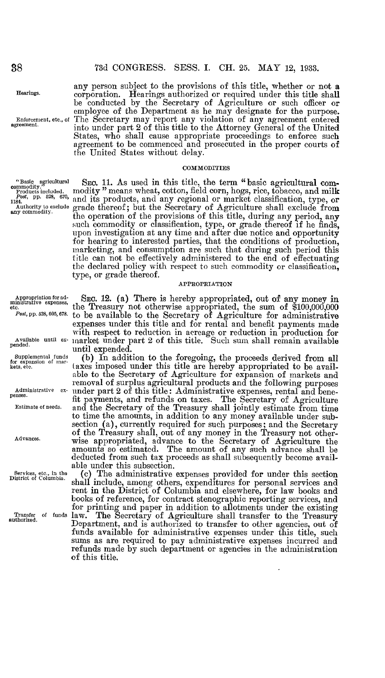Hearings.

any person subject to the provisions of this title, whether or not a corporation . Hearings authorized or required under this title shall be conducted by the Secretary of Agriculture or such officer or employee of the Department as he may designate for the purpose. Enforcement, etc., of The Secretary may report any violation of any agreement entered<br>agreement. into under part 2 of this title to the Attorney General of the United into under part 2 of this title to the Attorney General of the United States, who shall cause appropriate proceedings to enforce such agreement to be commenced and prosecuted in the proper courts of the United States without delay.

#### **COMMODITIES**

"Basic agricultural com-<br>commodity." means wheat, cotton, field corn, hogs, rice, tobacco, and milk<br>Products included...  $r_{\rm 1184}$ , pp. 528, 609, and its products, and any regional or market classification, type, or Authority to exclude grade thereof; but the Secretary of Agriculture shall exclude from any commodity. the operation of the provisions of this title, during any period, any the operation of the provisions of this title, during any period, any<br>such commodity or classification, type, or grade thereof if he finds, upon investigation at any time and after due notice and opportunity for hearing to interested parties, that the conditions of production, marketing, and consumption are such that during such period this title can not be effectively administered to the end of effectuating the declared policy with respect to such commodity or classification, type, or grade thereof.

### APPROPRIATION

Appropriation for ad-ministrative expenses, etc.

Post, pp. 528, 605, 678.

pended .

Supplemental funds for expansion of mar-kets, etc.

Administrative expenses.

Estimate of needs.

Advances .

Services, etc., in the District of Columbia .

Transfer of funds authorized .

with respect to reduction in acreage or reduction in production for<br>Available until ex- market under part 2 of this title. Such sum shall remain available SEC. 12. (a) There is hereby appropriated, out of any money in the Treasury not otherwise appropriated, the sum of \$100,000,000 to be available to the Secretary of Agriculture for administrative expenses under this title and for rental and benefit payments made market under part 2 of this title . Such sum shall remain available until expended.

(b) In addition to the foregoing, the proceeds derived from all taxes imposed under this title are hereby appropriated to be available to the Secretary of Agriculture for expansion of markets and removal of surplus agricultural products and the following purposes under part 2 of this title: Administrative expenses, rental and benefit payments, and refunds on taxes . The Secretary of Agriculture and the Secretary of the Treasury shall jointly estimate from time to time the amounts, in addition to any money available under sub-section (a), currently required for such purposes ; and the Secretary of the Treasury shall, out of any money in the Treasury not otherwise appropriated, advance to the Secretary of Agriculture the amounts so estimated . The amount of any such advance shall be deducted from such tax proceeds as shall subsequently become available under this subsection.

(c) The administrative expenses provided for under this section shall include, among others, expenditures for personal services and rent in the District of Columbia and elsewhere, for law books and books of reference, for contract stenographic reporting services, and for printing and paper in addition to allotments under the existing law. The Secretary of Agriculture shall transfer to the Treasury Department, and is authorized to transfer to other agencies, out of funds available for administrative expenses under this title, such sums as are required to pay administrative expenses incurred and refunds made by such department or agencies in the administration of this title.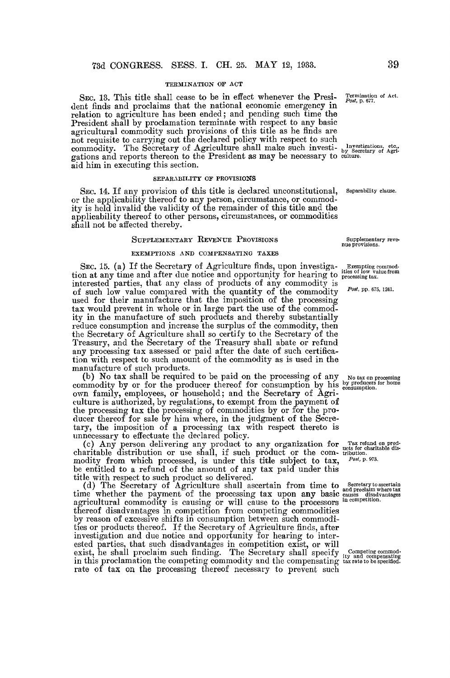#### TERMINATION OF ACT

SEC. 13 . This title shall cease to be in effect whenever the President finds and proclaims that the national economic emergency in relation to agriculture has been ended ; and pending such time the President shall by proclamation terminate with respect to any basic agricultural commodity such provisions of this title as he finds are not requisite to carrying out the declared policy with respect to such commodity. The Secretary of Agriculture shall make such investigations and reports thereon to the President as may be necessary to aid him in executing this section.

#### SEPARABILITY OF PROVISIONS

SEC. 14. If any provision of this title is declared unconstitutional, Separability clause. or the applicability thereof to any person, circumstance, or commodity is held invalid the validity of the remainder of this title and the applicability thereof to other persons, circumstances, or commodities shall not be affected thereby.

#### SUPPLEMENTARY REVENUE PROVISIONS

#### EXEMPTIONS AND COMPENSATING TAXES

SEC. 15. (a) If the Secretary of Agriculture finds, upon investiga-<br>exemption of low value from SEC. 13. (a) It the Secretary of Agriculture mas, upon investigate the secretary commodition at any time and after due notice and opportunity for hearing to processing tax. interested parties, that any class of products of any commodity is of such low value compared with the quantity of the commodity used for their manufacture that the imposition of the processing tax would prevent in whole or in large part the use of the commodity in the manufacture of such products and thereby substantially reduce consumption and increase the surplus of the commodity, then the Secretary of Agriculture shall so certify to the Secretary of the Treasury, and the Secretary of the Treasury shall abate or refund any processing tax assessed or paid after the date of such certification with respect to such amount of the commodity as is used in the manufacture of such products.

(b) No tax shall be required to be paid on the processing of any No tax on processing commodity by or for the producer thereof for consumption by his experiments. For home own family, employees, or household; and the Secretary of Agriculture is authorized, by regulations, to exempt from the payment of the processing tax the processing of commodities by or for the producer thereof for sale by him where, in the judgment of the Secretary, the imposition of a processing tax with respect thereto is unnecessary to effectuate the declared policy.

(c) Any person delivering any product to any organization for Tax retund on prod-<br>charitable distribution or use shall, if such product or the com- tribution. modity from which processed, is under this title subject to tax,  $P^{ost, p. 973}$ . be entitled to a refund of the amount of any tax paid under this title with respect to such product so delivered .

(d) The Secretary of Agriculture shall ascertain from time to secretain where tax time whether the payment of the processing tax upon any basic causes disadvantages agricultural commodity is causing or will cause to the processors in competition. thereof disadvantages in competition from competing commodities by reason of excessive shifts in consumption between such commodities or products thereof. If the Secretary of Agriculture finds, after investigation and due notice and opportunity for hearing to interested parties, that such disadvantages in competition exist, or will exist, he shall proclaim such finding. The Secretary shall specify ty and compensating<br>in this proclamation the competing commodity and the compensating tax rate to be specified. rate of tax on the processing thereof necessary to prevent such

Termination of Act.<br>Post, p. 677.

Investigations, etc., by Secretary of Agri-culture .

Supplementary reve. nue provisions .

Post, pp. 675, 1241.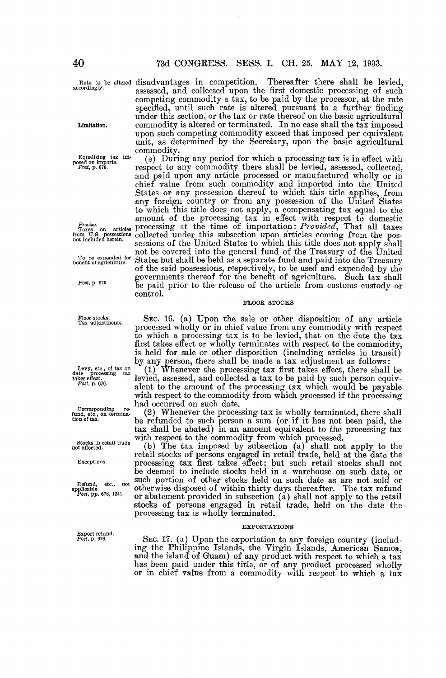Limitation .

Equalizing tax imposed on unports.<br>Post, p. 676.

Proviso.<br>Taxes on<br>om U.S. po Taxes on articles from U .S . possessions not included herein .

To be expended for benefit of agriculture .

Post, p. 676

Floor stocks . Tax adjustments.

Levy, etc., of tax on date processing tax takes effect. Post, p. 676.

Corresponding re-fund, etc ., on termina-tion of tax.

Stocks in retail trade not affected .

Exceptions.

Refund, etc., not<br>applicable.<br>Post, pp. 678, 1241.

 $Post$ , p.  $676$ .

Rate to be altered disadvantages in competition. Thereafter there shall be levied,<br>accordingly. accessed and collected upon the first domestic processing of such assessed, and collected upon the first domestic processing of such competing commodity a tax, to be paid by the processor, at the rate specified, until such rate is altered pursuant to a further finding under this section, or the tax or rate thereof on the basic agricultural commodity is altered or terminated. In no case shall the tax imposed upon such competing commodity exceed that imposed per equivalent unit, as determined by the Secretary, upon the basic agricultural commodity.

(e) During any period for which a processing tax is in effect with respect to any commodity there shall be levied, assessed, collected, and paid upon any article processed or manufactured wholly or in chief value from such commodity and imported into the United States or any possession thereof to which this title applies, from any foreign country or from any possession of the United States to which this title does not apply, a compensating tax equal to the amount of the processing tax in effect with respect to domestic processing at the time of importation: *Provided*, That all taxes collected under this subsection upon articles coming from the possessions of the United States to which this title does not apply shall not be covered into the general fund of the Treasury of the United States but shall be held as a separate fund and paid into the Treasury of the said possessions, respectively, to be used and expended by the governments thereof for the benefit of agriculture . Such tax shall be paid prior to the release of the article from customs custody or control.

#### FLOOR STOCKS

SEC. 16. (a) Upon the sale or other disposition of any article processed wholly or in chief value from any commodity with respect to which a processing tax is to be levied, that on the date the tax first takes effect or wholly terminates with respect to the commodity, is held for sale or other disposition (including articles in transit) by any person, there shall be made a tax adjustment as follows

(1) Whenever the processing tax first takes effect, there shall be levied, assessed, and collected a tax to be paid by such person equivalent to the amount of the processing tax which would be payable with respect to the commodity from which processed if the processing had occurred on such date.

(2) Whenever the processing tax is wholly terminated, there shall be refunded to such person a sum (or if it has not been paid, the tax shall be abated) in an amount equivalent to the processing tax with respect to the commodity from which processed.

(b) The tax imposed by subsection  $(a)$  shall not apply to the retail stocks of persons engaged in retail trade, held at the date the retail stocks of persons engaged in retail trade, held at the date the processing tax first takes effect ; but such retail stocks shall not be deemed to include stocks held in a warehouse on such date, or such portion of other stocks held on such date as are not sold or otherwise disposed of within thirty days thereafter . The tax refund or abatement provided in subsection (a) shall not apply to the retail stocks of persons engaged in retail trade, held on the date the processing tax is wholly terminated.

#### EXPORTATIONS

SEC. 17. (a) Upon the exportation to any foreign country (including the Philippine Islands, the Virgin Islands, American Samoa, and the island of Guam) of any product with respect to which a tax has been paid under this title, or of any product processed wholly or in chief value from a commodity with respect to which a tax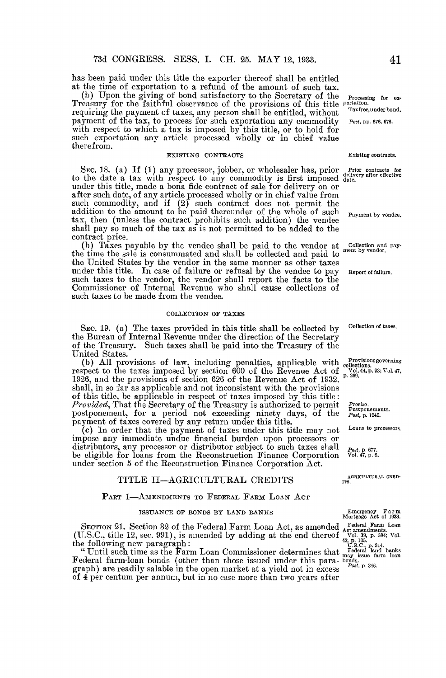has been paid under this title the exporter thereof shall be entitled at the time of exportation to a refund of the amount of such tax.<br>(b) Upon the giving of bond satisfactory to the Secretary of the

(b) Upon the giving of bond satisfactory to the Secretary of the Treasury for the faithful observance of the provisions of this title requiring the payment of taxes, any person shall be entitled, without payment of the tax, to process for such exportation any commodity with respect to which a tax is imposed by this title, or to hold for such exportation any article processed wholly or in chief value therefrom.

#### EXISTING CONTRACTS

SEC. 18. (a) If (1) any processor, jobber, or wholesaler has, prior to the date a tax with respect to any commodity is first imposed under this title, made a bona fide contract of sale for delivery on or after such date, of any article processed wholly or in chief value from such commodity, and if (2) such contract does not permit the addition to the amount to be paid thereunder of the whole of such tax, then (unless the contract prohibits such addition) the vender shall pay so much of the tax as is not permitted to be added to the contract price.

(b) Taxes payable by the vendee shall be paid to the vendor at the time the sale is consummated and shall be collected and paid to the United States by the vendor in the same manner as other taxes under this title. In case of failure or refusal by the vendee to pay such taxes to the vendor, the vendor shall report the facts to the Commissioner of Internal Revenue who shall cause collections of such taxes to be made from the vendee.

#### COLLECTION OF TAXES

SEC. 19. (a) The taxes provided in this title shall be collected by the Bureau of Internal Revenue under the direction of the Secretary of the Treasury. Such taxes shall be paid into the Treasury of the United States.

(b) All provisions of law, including penalties, applicable with respect to the taxes imposed by section 600 of the Revenue Act of 1926, and the provisions of section 626 of the Revenue Act of 1932, shall, in so far as applicable and not inconsistent with the provisions of this title, be applicable in respect of taxes imposed by this title *Provided*, That the Secretary of the Treasury is authorized to permit postponement, for a period not exceeding ninety days, of the payment of taxes covered by any return under this title.

(c) In order that the payment of taxes under this title may not impose any immediate undue financial burden upon processors or distributors, any processor or distributor subject to such taxes shall be eligible for loans from the Reconstruction Finance Corporation under section 5 of the Reconstruction Finance Corporation Act.

## TITLE II-AGRICULTURAL CREDITS

#### PART 1-AMENDMENTS TO FEDERAL FARM LOAN ACT

### ISSUANCE OF BONDS BY LAND BANKS

SECTION 21. Section 32 of the Federal Farm Loan Act, as amended (U.S .C., title 12, sec . 991), is amended by adding at the end thereof the following new paragraph

" Until such time as the Farm Loan Commissioner determines that Federal farm-loan bonds (other than those issued under this paragraph) are readily salable in the open market at a yield not in excess of 4 per centum per annum, but in no case more than two years after

Processing for ex-<br>portation.<br>Tax free, under bond.

Post, pp. 676, 678.

#### Existing contracts.

Prior contracts for delivery after effective date.

Payment by vendee.

Collection and pay-<br>ment by vendor.

Report of failure.

Collection of taxes.

Provisionsgoverning collections . Vol. 44, p . 93 ; Vol . 47, p . 269 .

Proviso . Postponements. Post, p. 1242.

Loans to processors.

 $\begin{array}{c} \text{T}^{out}, \text{p, or}, \\ \text{Vol. 47, p. 6.} \end{array}$ 

AGRICULTURAL CRED-<br>ITS.

Emergency Farm<br>Mortgage Act of 1933. Mortgage Act of 1933 . Federal Farm Loan<br>
Act amendments.<br>
Vol. 39, p. 384; Vol.<br>
42, p. 105.<br>
U.S.C., p. 314.<br>
Federal land banks<br>
may issue farm loan<br>
bonds.<br> *Post*, p. 346.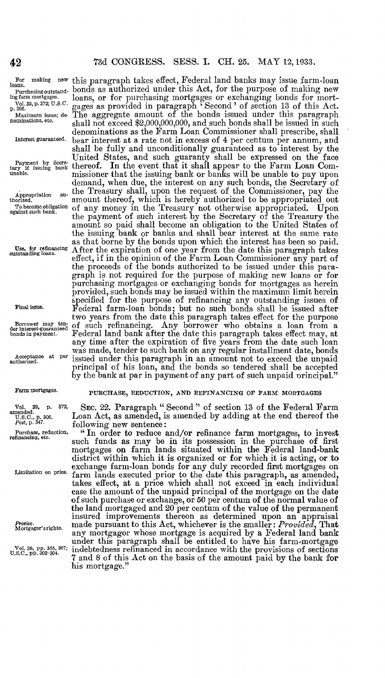# 73d CONGRESS. SESS. I. CH. 25. MAY 12, 1933.

ing farm mortgages . Vol . 39, p . 372; U .S .C . p . 306.

Maximum issue; de-nominations, etc .

Interest guaranteed .

Payment by Secre-tary if issuing bank unable.

Appropriation au-thorized . To become obligation against such bank .

Use, for refinancing outstanding loans.

Final issue.

Borrower may ten-der interest-guaranteed bonds in payment.

Acceptance at par authorized .

#### Farm mortgages .

Vol. 39, p. 372,<br>amended.<br>U.S.C., p. 306.<br>*Post*, p. 347. Purchase, reduction, refinancing, etc .

Proviso . Mortgagor's rights .

Vol. 39, pp. 365, 367;<br>U.S.C., pp. 302-304.

For making new this paragraph takes effect, Federal land banks may issue farm-loan loans. Purchasing outstand- bonds as authorized under this Act, for the purpose of making new loans, or for purchasing mortgages or exchanging bonds for mortgages as provided in paragraph ' Second' of section 13 of this Act . The aggregate amount of the bonds issued under this paragraph shall not exceed \$2,000,000,000, and such bonds shall be issued in such denominations as the Farm Loan Commissioner shall prescribe, shall bear interest at a rate not in excess of 4 per centum per annum, and bear interest at a rate not in excess of 4 per centum per annum, and shall be fully and unconditionally guaranteed as to interest by the United States, and such guaranty shall be expressed on the face thereof. In the event that it shall appear to the Farm Loan Commissioner that the issuing bank or banks will be unable to pay upon demand, when due, the interest on any such bonds, the Secretary of the Treasury shall, upon the request of the Commissioner, pay the amount thereof, which is hereby authorized to be appropriated out of any money in the Treasury not otherwise appropriated. Upon the payment of such interest by the Secretary of the Treasury the amount so paid shall become an obligation to the United States of the issuing bank or banks and shall bear interest at the same rate as that borne by the bonds upon which the interest has been so paid. After the expiration of one year from the date this paragraph takes effect, if in the opinion of the Farm Loan Commissioner any part of the proceeds of the bonds authorized to be issued under this paragraph is not required for the purpose of making new loans or for purchasing mortgages or exchanging bonds for mortgages as herein provided, such bonds may be issued within the maximum limit herein specified for the purpose of refinancing any outstanding issues of Federal farm-loan bonds ; but no such bonds shall be issued after two years from the date this paragraph takes effect for the purpose of such refinancing. Any borrower who obtains a loan from a Federal land bank after the date this paragraph takes effect may, at any time after the expiration of five years from the date such loan was made, tender to such bank on any regular installment date, bonds issued under this paragraph in an amount not to exceed the unpaid principal of his loan, and the bonds so tendered shall be accepted by the bank at par in payment of any part of such unpaid principal."

## PURCHASE, REDUCTION, AND REFINANCING OF FARM MORTGAGES

SEC. 22. Paragraph " Second " of section 13 of the Federal Farm Loan Act, as amended, is amended by adding at the end thereof the following new sentence

exchange farm-loan bonds for any duly recorded first mortgages of<br>Limitation on price, farm lands executed prior to the date this paragraph, as amended " In order to reduce and/or refinance farm mortgages, to invest such funds as may be in its possession in the purchase of first mortgages on farm lands situated within the Federal land-bank district within which it is organized or for which it is acting, or to exchange farm-loan bonds for any duly recorded first mortgages on farm lands executed prior to the date this paragraph, as amended, takes effect, at a price which shall not exceed in each individual case the amount of the unpaid principal of the mortgage on the date of such purchase or exchange, or 50 per centum of the normal value of the land mortgaged and 20 per centum of the value of the permanent insured improvements thereon as determined upon an appraisal made pursuant to this Act, whichever is the smaller:  $Provided$ , That any mortgagor whose mortgage is acquired by a Federal land bank under this paragraph shall be entitled to have his farm-mortgage indebtedness refinanced in accordance with the provisions of sections 7 and 8 of this Act on the basis of the amount paid by the bank for his mortgage.'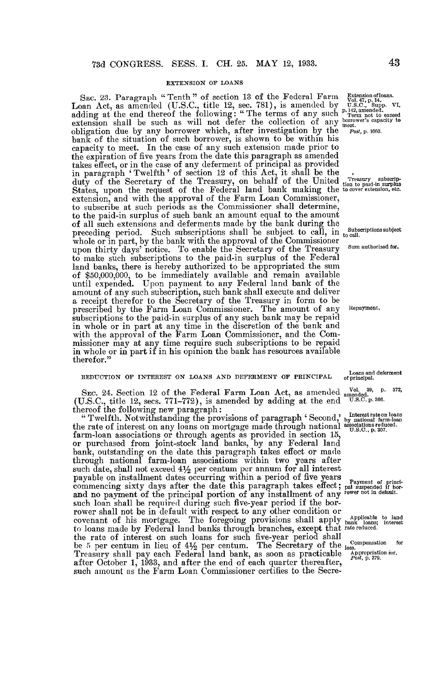#### EXTENSION OF LOANS

Sec. 23. Paragraph "Tenth" of section 13 of the Federal Farm  $\frac{Extensionoflong}{Vol.47, p.14}$ Loan Act, as amended (U.S.C., title 12, sec. 781), is amended by  $\overline{v}$ .  $\overline{u}$   $\overline{v}$ .  $\overline{v}$   $\overline{v}$   $\overline{v}$   $\overline{v}$   $\overline{v}$   $\overline{v}$   $\overline{v}$   $\overline{v}$   $\overline{v}$   $\overline{v}$   $\overline{v}$   $\overline{v}$   $\overline{v}$   $\overline{v}$  adding at the end thereof the following: "The terms of any such Term not to exceed extension shall be such as will not defer the collection of any  $\frac{\text{power}}{\text{meet}}$  superiors superior obligation due by any borrower which, after investigation by the  $P_{\text{bot}}$ , p. 1060. bank of the situation of such borrower, is shown to be within his capacity to meet. In the case of any such extension made prior to the expiration of five years from the date this paragraph as amended takes effect, or in the case of any deferment of principal as provided takes effect, or in the case of any deferment of principal as provided in paragraph `Twelfth' of section 12 of this Act, it shall be the duty of the Secretary of the Treasury, on behalf of the United the to plus surplus<br>States, upon the request of the Federal land bank making the to cover extension, etc. extension, and with the approval of the Farm Loan Commissioner, to subscribe at such periods as the Commissioner shall determine, to the paid-in surplus of such bank an amount equal to the amount of all such extensions and deferments made by the bank during the preceding period. Such subscriptions shall be subject to call, in to call whole or in part, by the bank with the approval of the Commissioner upon thirty days' notice. To enable the Secretary of the Treasury to make such subscriptions to the paid-in surplus of the Federal land banks, there is hereby authorized to be appropriated the sum of \$50,000,000, to be immediately available and remain available until expended. Upon payment to any Federal land bank of the amount of any such subscription, such bank shall execute and deliver a receipt therefor to the Secretary of the Treasury in form to be prescribed by the Farm Loan Commissioner. The amount of any Repayment. subscriptions to the paid-in surplus of any such bank may be repaid in whole or in part at any time in the discretion of the bank and with the approval of the Farm Loan Commissioner, and the Commissioner may at any time require such subscriptions to be repaid in whole or in part if in his opinion the bank has resources available therefor."

#### REDUCTION OF INTEREST ON LOANS AND DEFERMENT OF PRINCIPAL

SEC. 24. Section 12 of the Federal Farm Loan Act, as amended  $\frac{10!}{\text{amended}}$ , p. 372, (U.S.C., title 12, secs.  $771-772$ ), is amended by adding at the end thereof the following new paragraph

"Twelfth. Notwithstanding the provisions of paragraph 'Second, by national farm-loan the rate of interest on any loans on mortgage made through national  $\frac{60.800}{0.800}$ , p.307. farm-loan associations or through agents as provided in section 15, or purchased from joint-stock land banks, by any Federal land bank, outstanding on the date this paragraph takes effect or made through national farm-loan associations within two years after such date, shall not exceed  $4\frac{1}{2}$  per centum per annum for all interest payable on installment dates occurring within a period of five years commencing sixty days after the date this paragraph takes effect; pal suspended if borand no payment of the principal portion of any installment of any lower not in default. such loan shall be required during such five-year period if the borrower shall not be in default with respect to any other condition or<br>covenant of his mortgage. The foregoing provisions shall apply bank loans; interest to loans made by Federal land banks through branches, except that rate reduced . the rate of interest on such loans for such five-year period shall be 5 per centum in lieu of  $4\frac{1}{2}$  per centum. The Secretary of the  $\frac{1}{10}$  compensation for Treasury shall pay each Federal land bank, as soon as practicable  $\frac{Aplopination}{Post}$ , p. 279. after October 1, 1933, and after the end of each quarter thereafter, such amount as the Farm Loan Commissioner certifies to the Secre-

Subscriptions subject

Sum authorized for .

Loans and deferment of principal.

# 43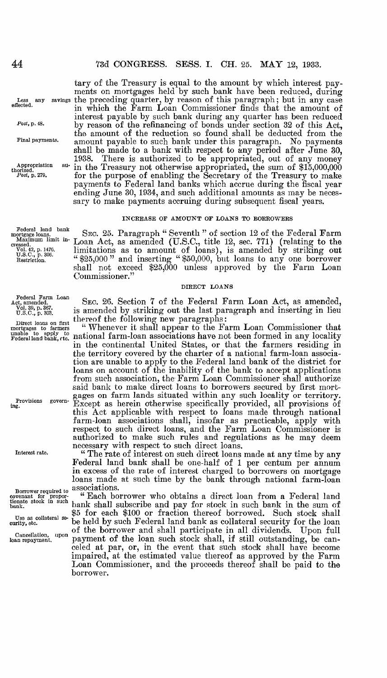## 73d CONGRESS. SESS. I. CH. 25. MAY 12, 1933.

Less<br>effected.

Post, p. 48.

Final payments.

Appropriation au-thorized.  $Post$ , p. 279.

Federal land bank mortgage loans. Maximum limit in-creased. Vo1. 42, p . 1476 . U.S .C ., <sup>p</sup> . 306. Restriction .

Federal Farm Loan<br>Act, amended.<br>Vol. 39, p. 367. . 39, p. 367.<br>C., p. 303.

Interest rate.

Borrower required to  $\sum_{i=1}^{N}$   $\sum_{i=1}^{N}$ bank,

Use as collateral se-<br>curity, etc.

Cancellation, upon<br>loan repayment.

Less any savings the preceding quarter, by reason of this paragraph; but in any case tary of the Treasury is equal to the amount by which interest payments on mortgages held by such bank have been reduced, during in which the Farm Loan Commissioner finds that the amount of interest payable by such bank during any quarter has been reduced by reason of the refinancing of bonds under section 32 of this Act, the amount of the reduction so found shall be deducted from the amount payable to such bank under this paragraph. No payments shall be made to a bank with respect to any period after June 30, 1938. There is authorized to be appropriated, out of any money in the Treasury not otherwise appropriated, the sum of \$15,000,000 for the purpose of enabling the Secretary of the Treasury to make payments to Federal land banks which accrue during the fiscal year ending June 30, 1934, and such additional amounts as may be necessary to make payments accruing during subsequent fiscal years.

#### INCREASE OF AMOUNT OF LOANS TO BORROWERS

SEC. 25. Paragraph "Seventh " of section 12 of the Federal Farm Loan Act, as amended  $(0.8C, \text{ title 12, sec. } 71)$  (relating to the limitations as to amount of loans), is amended by striking out " \$25,000 " and inserting " \$50,000, but loans to any one borrower shall not exceed \$25,000 unless approved by the Farm Loan Commissioner ."

#### DIRECT LOANS

SEC. 26. Section 7 of the Federal Farm Loan Act, as amended, is amended by striking out the last paragraph and inserting in lieu<br>thereof the following new paragraphs:<br>"Whenever it shall appear to the Farm Loan Commissioner that

Direct loans on first thereof the following new paragraphs:<br>mortgages to farmers "Whenever it shall appear to the Farm Loan Commissioner that<br>mable to apply to national farm-loan associations have not been formed in any lo in the continental United States, or that the farmers residing in the territory covered by the charter of a national farm-loan association are unable to apply to the Federal land bank of the district for loans on account of the inability of the bank to accept applications from such association, the- Farm Loan Commissioner shall authorize said bank to make direct loans to borrowers secured by first mort-Provisions govern- gages on farm lands situated within any such locality or territory.<br>  $F_{\text{in}}$  ing. this Act applicable with respect to loans made through national farm-loan associations shall, insofar as practicable, apply with respect to such direct loans, and the Farm Loan Commissioner is authorized to make such rules and regulations as he may deem necessary with respect to such direct loans.

" The rate of interest on such direct loans made at any time by any Federal land bank shall be one-half of 1 per centum per annum in excess of the rate of interest charged to borrowers on mortgage loans made at such time by the bank through national farm-loan associations.

"Each borrower who obtains a direct loan from a Federal land bank shall subscribe and pay for stock in such bank in the sum of \$5 for each \$100 or fraction thereof borrowed. Such stock shall  $U_{\text{S6}}$  as collateral se-  $\frac{55}{100}$  for each  $\frac{500}{100}$  or fraction thereof borrowed. Such stock shall be held by such Federal land bank as collateral security for the loan of the borrower and shall participate in all dividends . Upon full payment of the loan such stock shall, if still outstanding, be canceled at par, or, in the event that such stock shall have become impaired, at the estimated value thereof as approved by the Farm Loan Commissioner, and the proceeds thereof shall be paid to the borrower.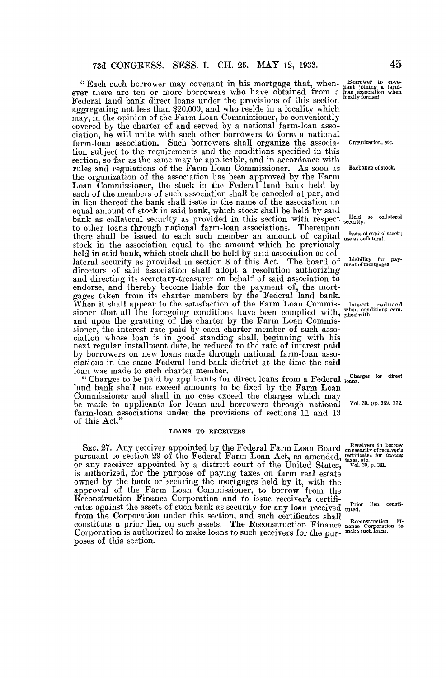"Each such borrower may covenant in his mortgage that, whenever there are ten or more borrowers who have obtained from a  $\ddot{\beta}$ Federal land bank direct loans under the provisions of this section aggregating not less than \$20,000, and who reside in a locality which may, in the opinion of the Farm Loan Commissioner, be conveniently covered by the charter of and served by a national farm-loan association, he will unite with such other borrowers to form a national farm-loan association. Such borrowers shall organize the association subject to the requirements and the conditions specified in this section, so far as the same may be applicable, and in accordance with rules and regulations of the Farm Loan Commissioner . As soon as Exchange of stock. the organization of the association has been approved by the Farm Loan Commissioner, the stock in the Federal land bank held by each of the members of such association shall be canceled at par, and in lieu thereof the bank shall issue in the name of the association an equal amount of stock in said bank, which stock shall be held by said bank as collateral security as provided in this section with respect  $\mathbf{s}_i$ to other loans through national farm-loan associations. Thereupon there shall be issued to each such member an amount of capital  $_{\rm u}$ stock in the association equal to the amount which he previously held in said bank, which stock shall be held by said association as collateral security as provided in section 8 of this Act. The board of  $\pi$ directors of said association shall adopt a resolution authorizing and directing its secretary-treasurer on behalf of said association to endorse, and thereby become liable for the payment of, the mortgages taken from its charter members by the Federal land bank . When it shall appear to the satisfaction of the Farm Loan Commis- Interest reduced sioner that all the foregoing conditions have been complied with, plied with and upon the granting of the charter by the Farm Loan Commissioner, the interest rate paid by each charter member of such association whose loan is in good standing shall, beginning with his next regular installment date, be reduced to the rate of interest paid by borrowers on new loans made through national farm-loan associations in the same Federal land-bank district at the time the said loan was made to such charter member.

" Charges to be paid by applicants for direct loans from a Federal  $_{10}$ land bank shall not exceed amounts to be fixed by the Farm Loan Commissioner and shall in no case exceed the charges which may be made to applicants for loans and borrowers through national farm-loan associations under the provisions of sections 11 and 13 of this Act."

#### LOANS TO RECEIVERS

SEC. 27. Any receiver appointed by the Federal Farm Loan Board pursuant to section 29 of the Federal Farm Loan Act, as amended, or any receiver appointed by a district court of the United States, is authorized, for the purpose of paying taxes on farm real estate owned by the bank or securing the mortgages held by it, with the approval of the Farm Loan Commissioner, to borrow from the Reconstruction Finance Corporation and to issue receiver's certifi-Reconstruction Finance Corporation and to issue receiver's certificates against the assets of such bank as security for any loan received  $\frac{r}{t^{100}}$ from the Corporation under this section, and such certificates shall constitute a prior lien on such assets. The Reconstruction Finance Corporation is authorized to make loans to such receivers for the purposes of this section.

| 45                                                                                                             |
|----------------------------------------------------------------------------------------------------------------|
| Borrower to covenant joining a farm-<br>loan association when<br>locally formed.                               |
| Organization, etc.                                                                                             |
| Exchange of stock.                                                                                             |
| Held as collateral<br>security.                                                                                |
| Issue of capital stock;<br>use as collateral.                                                                  |
| Liability<br>fог<br>pay-<br>ment of mortgages.                                                                 |
| Interest reduced<br>when conditions com-<br>plied with.                                                        |
| Charges for direct<br>loans.<br>Vol. 39, pp. 369, 372.                                                         |
| Receivers to borrow<br>on security of receiver's<br>certificates for paying<br>taxes, etc.<br>Vol. 39, p. 381. |

tuted .

Reconstruction Fi-nance Corporation to make such loans .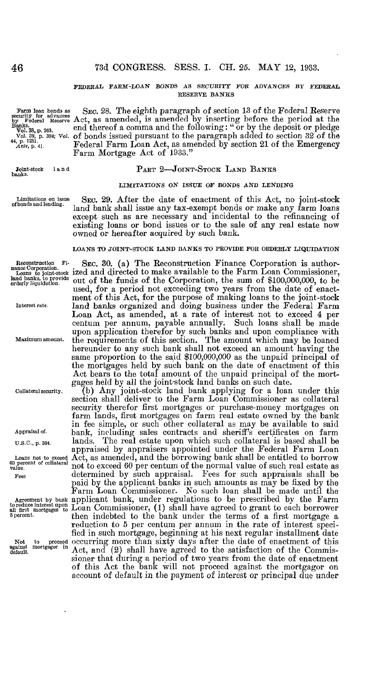#### FEDERAL FARM-LOAN BONDS AS SECURITY FOR ADVANCES BY FEDERAL RESERVE BANKS

by Federal R<br>Banks.<br>Vol. 38, p. 263.

Joint-stock I a n d banks .

Limitations on issue<br>of bonds and lending.

Farm loan bonds as SEC. 28. The eighth paragraph of section 13 of the Federal Reserve<br>security for advances Act, as amended, is amended by inserting before the period at the end thereof a comma and the following: " or by the deposit or pledge Vol. 39, p. 384; Vol.  $\sigma$ f bonds issued pursuant to the paragraph added to section 32 of the  $\frac{44}{5}$  p. 1231.  $A$ <sup>nte, p. 41.</sup> Federal Farm Loan Act, as amended by section 21 of the Emergency Federal Farm Loan Act, as amended by section 21 of the Emergency<br>Farm Mortgage Act of 1933."

### PART 2-JOINT-STOCK LAND BANKS

#### LIMITATIONS ON ISSUE OF BONDS AND LENDING

SEC. 29. After the date of enactment of this Act, no joint-stock land bank shall issue any tax-exempt bonds or make any farm loans except such as are necessary and incidental to the refinancing of existing loans or bond issues or to the sale of any real estate now owned or hereafter acquired by such bank.

#### LOANS TO JOINT-STOCK LAND BANKS TO PROVIDE FOR ORDERLY LIQUIDATION

land banks, to provide orderly liquidation . .

Appraisal of.

U.S.C., p. 304.

60 percent of collateral value .

Reconstruction Fi- SEC. 30. (a) The Reconstruction Finance Corporation is authorized and directed to make available to the Farm Loan Commissioner, out of the funds of the Corporation, the sum of \$100,000,000, to be used, for a period not exceeding two years from the date of enactment of this Act, for the purpose of making loans to the joint-stock Interest rate . land banks organized and doing business under the Federal Farm Loan Act, as amended, at a rate of interest not to exceed 4 per centum per annum, payable annually. Such loans shall be made upon application therefor by such banks and upon compliance with Maximum amount. the requirements of this section. The amount which may be loaned hereunder to any such bank shall not exceed an amount having the same proportion to the said \$100,000,000 as the unpaid principal of the mortgages held by such bank on the date of enactment of this Act bears to the total amount of the unpaid principal of the mortgages held by all the joint-stock land banks on such date.

Collateral security . (b) Any joint-stock land bank applying for a loan under this section shall deliver to the Farm Loan Commissioner as collateral security therefor first mortgages or purchase-money mortgages on farm lands, first mortgages on farm real estate owned by the bank in fee simple, or such other collateral as may be available to said bank, including sales contracts and sheriff's certificates on farm lands. The real estate upon which such collateral is based shall be appraised by appraisers appointed under the Federal Farm Loan Act, as amended, and the borrowing bank shall be entitled to borrow . not to exceed 60 per centum of the normal value of such real estate as Fees determined by such appraisal. Fees for such appraisals shall be paid by the applicant banks in such amounts as may be fixed by the Farm Loan Commissioner. No such loan shall be made until the Agreement by bank applicant bank, under regulations to be prescribed by the Farm<br>to reduce interest upon Loan Commissioner, (1) shall have agreed to grant to each borrower  $\delta$  percent. then indebted to the bank under the terms of a first mortgage a reduction to 5 per centum per annum in the rate of interest specified in such mortgage, beginning at his next regular installment date Not to proceed occurring more than sixty days after the date of enactment of this against mortgagor in Act, and (2) shall have agreed to the satisfaction of the Commissioner that during a period of two years from the date of enactment of this Act the bank will not proceed against the mortgagor on account of default in the payment of interest or principal due under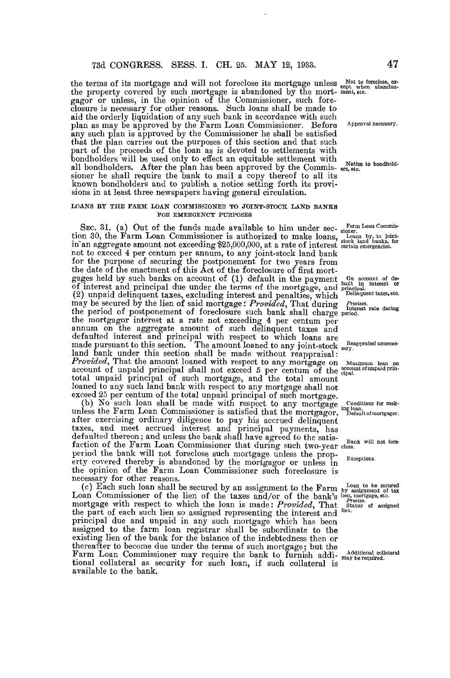the terms of its mortgage and will not foreclose its mortgage unless  $_{\rm opt}^{\rm out when~abandon}$ .<br>the property covered by such mortgage is abandoned by the mort- ment, etc. gagor or unless, in the opinion of the Commissioner, such foreclosure is necessary for other reasons . Such loans shall be made to aid the orderly liquidation of any such bank in accordance with such plan as may be approved by the Farm Loan Commissioner. Before Approval necessary. any such plan is approved by the Commissioner he shall be satisfied that the plan carries out the purposes of this section and that such part of the proceeds of the loan as is devoted to settlements with bondholders will be used only to effect an equitable settlement with solutionally with the most complete the plan has been approved by the Commis- ers, etc. sioner he shall require the bank to mail a copy thereof to all its known bondholders and to publish a notice setting forth its provisions in at least three newspapers having general circulation.

#### LOANS BY THE FARM LOAN COMMISSIONER TO JOINT-STOCK LAND BANKS FOR EMERGENCY PURPOSES

SEC. 31. (a) Out of the funds made available to him under sec- Farm Loan Commistion 30, the Farm Loan Commissioner is authorized to make loans, Loans by, to joint-<br>in an aggregate amount not exceeding \$25,000,000, at a rate of interest certain emergencies. not to exceed 4 per centum per annum, to any joint-stock land bank for the purpose of securing the postponement for two years from the date of the enactment of this Act of the foreclosure of first mortgages held by such banks on account of (1) default in the payment fault in the count of de-<br>of interest and principal due under the terms of the mortgage, and principal ............ (2) unpaid delinquent taxes, excluding interest and penalties, which <sup>Delinquent taxes, etc.</sup> may be secured by the lien of said mortgage: Provided, That during  $P_{rotisos}$ rate of the period of postponement of foreclosure such bank shall charge period. the mortgagor interest at a rate not exceeding 4 per centum per annum on the aggregate amount of such delinquent taxes and defaulted interest and principal with respect to which loans are made pursuant to this section. The amount loaned to any joint-stock sary. land bank under this section shall be made without reappraisal : **Provided,** That the amount loaned with respect to any mortgage on  $\frac{M_{\text{axi, minum}}}{M_{\text{axi}}}\$  account of unpaid principal shall not exceed 5 per centum of the  $\frac{2000 \text{ m/s}}{100 \text{ m}}$ total unpaid principal of such mortgage, and the total amount loaned to any such land bank with respect to any mortgage shall not exceed 25 per centum of the total unpaid principal of such mortgage. exceed 25 per centum of the total unpaid principal of such mortgage .

(b) No such 10an shall be made with respect to any mortgage Conditions for mak-<br>lass the Ferm Loan Commissioner is setisfied that the mentances inglean. unless the Farm Loan Commissioner is satisfied that the mortgagor, Default ofmortgagor . after exercising ordinary diligence to pay his accrued delinquent taxes, and meet accrued interest and principal payments, has defaulted thereon ; and unless the bank shall have agreed to the satisfaction of the Farm Loan Commissioner that during such two-year close.<br>period the bank will not foreclose such mortgage unless the propperiod the bank will not foreclose such mortgage unless the prop- Exceptions. erty covered thereby is abandoned by the mortgagor or unless in the opinion of the Farm Loan Commissioner such foreclosure is necessary for other reasons. necessary for other reasons.

(c) Each such loan shall be secured by an assignment to the Farm by assignment of tax<br>Loan Commissioner of the lien of the taxes and/or of the bank's lien, mortgage, etc. mortgage with respect to which the loan is made:  $Provided$ , That status of assigned the part of each such lien so assigned representing the interest and <sup>nen.</sup> principal due and unpaid in any such mortgage which has been assigned to the farm loan registrar shall be subordinate to the existing lien of the bank for the balance of the indebtedness then or thereafter to become due under the terms of such mortgage ; but the Farm Loan Commissioner may require the bank to furnish addi- may be required. tional collateral as security for such loan, if such collateral is available to the bank.

Reappraisal unneces-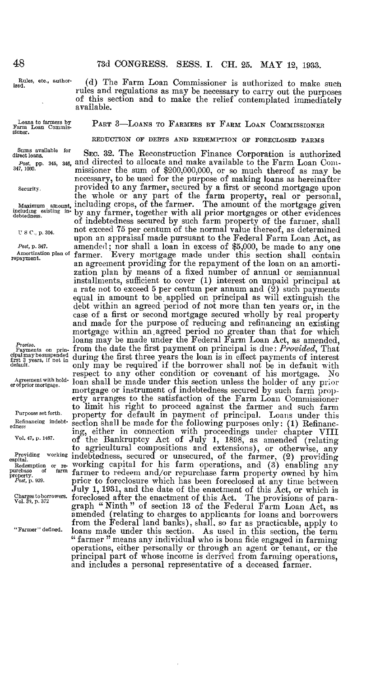Rules, etc., author-<br>ized.

(d) The Farm Loan Commissioner is authorized to make such rules and regulations as may be necessary to carry out the purposes of this section and to make the relief contemplated immediately available.

Loans to farmers by Farm Loan Commis-sioner.

PART 3-LOANS TO FARMERS BY FARM LOAN COMMISSIONER

REDUCTION OF DEBTS AND REDEMPTION OF FORECLOSED FARMS

Post, p. 347.

 $F_{\tau}$ roviso. cipal may be suspended<br>first 3 years, if not in<br>defecti  $48$  Rules, et ized.<br>
Loans to rarm Loan sioner.<br>
Sums avadirect loans,  $Post$ , pp.<br>
347, 1080.<br>
Security.<br>
Maximum including edebtedness.<br>
U S C., p.<br>  $Post$ , p. 34 Amortizati repayment.<br>
Topayment.<br>
Froriso.<br>
Payments eipaina

er Agreem

Refinancing indebt-<br>edness

Sums available for SEC. 32. The Reconstruction Finance Corporation is authorized Post, pp . 345, 34e, and directed to allocate and make available to the Farm Loan Coin-347, 1060. missioner the sum of \$200,000,000, or so much thereof as may be necessary, to be used for the purpose of making loans as hereinafter security. Provided to any farmer, secured by a first of second mortgage upon<br>the whole or any part of the farm property, real or personal provided to any farmer, secured by a first or second mortgage upon Maximum amount, including crops, of the farmer. The amount of the mortgage given<br>including in the mortgages or other evidences<br>debtedness. of indebtedness secured by such farm property of the farmer, shall  $\sigma$  is  $c_{n,p}$  and  $c_{n,p}$  and  $c_{n,p}$  are centum of the normal value thereof, as determined using  $c_{n,p}$  and  $c_{n,p}$  are computed in  $c_{n,p}$  and  $c_{n,p}$  are computed in  $c_{n,p}$  and  $c_{n,p}$  are computed in  $c_{n,p}$  and upon an appraisal made pursuant to the Federal Farm Loan Act, as amended ; nor shall a loan in excess of \$5,000, be made to any one Amortization plan of farmer. Every mortgage made under this section shall contain an agreement providing for the repayment of the loan on an amortization plan by means of a fixed number of annual or semiannual installments, sufficient to cover (1) interest on unpaid principal at a rate not to exceed 5 per centum per annum and  $(2)$  such payments equal in amount to be applied on principal as will extinguish the debt within an agreed period of not more than ten years or, in the case of a first or second mortgage secured wholly by real property and made for the purpose of reducing and refinancing an existing mortgage within an ,agreed period no greater than that for which loans may be made under the Federal Farm Loan Act, as amended, from the date the first payment on principal is due:  $Provided$ , That during the first three years the loan is in effect payments of interest<br>default. only may be required if the borrower shall not be in default with respect to any other condition or covenant of his mortgage. No loan shall be made under this section unless the holder of any prior mortgage or instrument of indebtedness secured by such farm property arranges to the satisfaction of the Farm Loan Commissioner to limit his right to proceed against the farmer and such farm ruposes settoral. property for default in payment of principal. Loans under this edness ing, either in connection with proceedings under chapter VIII<br>Vol. 47, p. 1467. of the Bankruptcy Act of July 1, 1898, as amended (relating Section shall be made for the following purposes only : (1) Refinancto agricultural compositions and extensions), or otherwise, any Providing working indebtedness, secured or unsecured, of the farmer,  $(2)$  providing capital  $f(x)$  . Redemption or re- WOTKIng capital for his farm operations, and (3) enabling any purchase of farm farmer to redeem and/or repurchase farm property owned by him property.<br>
From the property of the property of the property pr July 1, 1931, and the date of the enactment of this Act, or which is Charges to borrowers. foreclosed after the enactment of this Act. The provisions of para-<br>Vol. 39, p. 372 graph "Ninth" of section 13 of the Federal Farm Loan Act, as amended (relating to charges to applicants for loans and borrowers from the Federal land banks), shall, so far as practicable, apply to "Farmer" defined. loans made under this section . As used in this section, the terni " farmer " means any individual who is bona fide engaged in farming operations, either personally or through an agent or tenant, or the principal part of whose income is derived from farming operations, and includes a personal representative of a deceased farmer.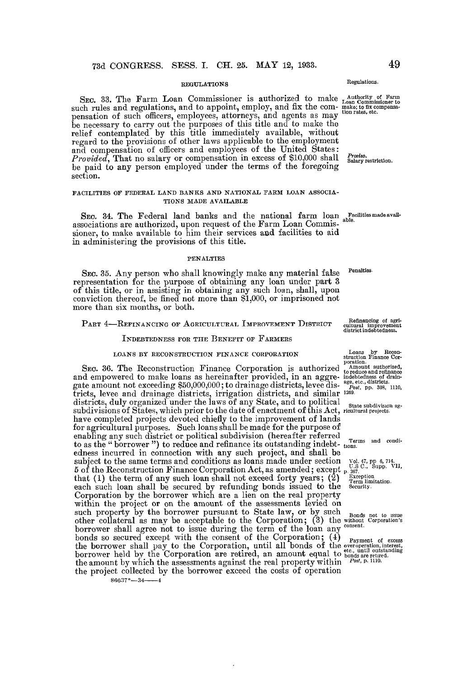#### REGULATIONS

SEC. 33. The Farm Loan Commissioner is authorized to make  $\frac{1}{\text{Aron Comisioner to}}$ <br>such rules and regulations, and to appoint, employ, and fix the com- make to fix componsapensation of such officers, employees, attorneys, and agents as may then rates, etc. be necessary to carry out the purposes of this title and to make the relief contemplated by this title immediately available, without regard to the provisions of other laws applicable to the employment and compensation of officers and employees of the United States: Provided, That no salary or compensation in excess of \$10,000 shall Salary restriction. be paid to any person employed under the terms of the foregoing section.

#### FACILITIES OF FEDERAL LAND BANKS AND NATIONAL FARM LOAN ASSOCIA-TIONS MADE AVAILABLE

SEC. 34. The Federal land banks and the national  $\tau$ arm loan faculties made avail-<br>contributions are onthousing dense provided to Four Loan Commis a<sup>ble.</sup> associations are authorized, upon request of the Farm Loan Commissioner, to make available to him their services and facilities to aid in administering the provisions of this title.

#### PENALTIES

SEC. 35. Any person who shall knowingly make any material false representation for the purpose of obtaining any loan under part 3 of this title, or in assisting in obtaining any such loan, shall, upon conviction thereof, be fined not more than \$1,000, or imprisoned not more than six months, or both.

## PART 4-REFINANCING OF AGRICULTURAL IMPROVEMENT DISTRICT

INDEBTEDNESS FOR THE BENEFIT OF FARMERS

#### LOANS BY RECONSTRUCTION FINANCE CORPORATION

SEC. 36. The Reconstruction Finance Corporation is authorized  $_{\text{troduced}}^{\text{A reduction}}$  and empowered to make loans as hereinafter provided, in an aggre- indebtedness of draingate amount not exceeding \$50,000,000; to drainage districts, levee districts, levee and drainage districts, irrigation districts, and similar  $^{1209}$ . districts, duly organized under the laws of any State, and to political state subdivision ag-<br>subdivisions of States, which prior to the date of enactment of this Act, ricultural projects. have completed projects devoted chiefly to the improvement of lands for agricultural purposes. Such loans shall be made for the purpose of enabling any such district or political subdivision (hereafter referred enabling any such district or political subdivision (hereafter referred to as the "borrower") to reduce and refinance its outstanding indebt-7781 CDM (INTERT) SECTION INTERTATION (THE 26 MAY 19, 1993.<br>
SEC 38. THE Farm Learn Commissioner is authorized to make such rules and regulations, and to suppose the movement of the connection with the sum project of the subject to the same terms and conditions as loans made under section  $V_0$ ,  $V_1$ ,  $V_2$ ,  $V_3$ ,  $V_4$ ,  $V_5$  $5$  of the Reconstruction Finance Corporation Act, as amended; except p.  $_{257}^{\circ}$ . Supp. VII, that (1) the term of any such loan shall not exceed forty years ; (2) each such loan shall be secured by refunding bonds issued to the Security. Corporation by the borrower which are a lien on the real property within the project or on the amount of the assessments levied on such property by the borrower pursuant to State law, or by such such property by the borrower pursuant to State law, or by such Bonds not to issue<br>other collateral as may be acceptable to the Corporation; (3) the without Corporation's borrower shall agree not to issue during the term of the loan any consent bonds so secured except with the consent of the Corporation; (4) Payment of excess<br>the borrower shall pay to the Corporation, until all bonds of the overoperation, interest, borrower held by the Corporation are retired, an amount equal to bonds are retired. the amount by which the assessments against the real property within  $P_{\text{post}}$ , p. 1110. the project collected by the borrower exceed the costs of operation  $86637^{\circ}$ —34—4

Regulations .

Penalties\_

Refinancing of agri-cultural cultural improvement district indebtedness .

Loans by Recon-struction Finance Cor-poration .

l, pp. 6, 714<br>., Supp. 1<br>tion<br>limitation.<br>ty.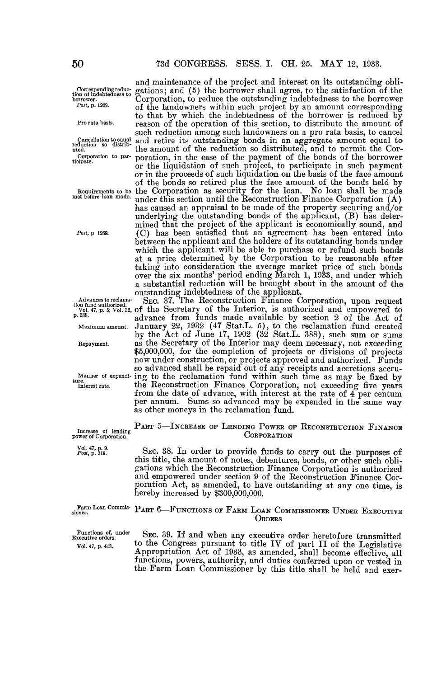to that by which the indebtedness of the borrower is reduced by reason of the operation of this section, to distribute the amount of such reduction among such landowners on a pro rata basis, to cancel and retire its outstanding bonds in an aggregate amount equal to the amount of the reduction so distributed, and to permit the Cor-

poration, in the case of the payment of the bonds of the borrower

or the liquidation of such project, to participate in such payment or in the proceeds of such liquidation on the basis of the face amount of the bonds held by of the bonds so retired plus the face amount of the bonds held by

has caused an appraisal to be made of the property securing and/or underlying the outstanding bonds of the applicant, (B) has determined that the project of the applicant is economically sound, and (C) has been satisfied that an agreement has been entered into between the applicant and the holders of its outstanding bonds under which the applicant will be able to purchase or refund such bonds at a price determined by the Corporation to be reasonable after taking into consideration the average market price of such bonds over the six months' period ending March 1, 1933, and under which a substantial reduction will be brought about in the amount of the

by the Act of June  $17, 1902$  (32 Stat. L. 388), such sum or sums

as the Secretary of the Interior may deem necessary, not exceeding \$5,000,000, for the completion of projects or divisions of projects now under construction, or projects approved and authorized . Funds so advanced shall be repaid out of any receipts and accretions accru-

the Reconstruction Finance Corporation, not exceeding five years from the date of advance, with interest at the rate of 4 per centum per annum. Sums so advanced may be expended in the same way

**CORPORATION** 

SEC. 38 . In order to provide funds to carry out the purposes of

as other moneys in the reclamation fund.

and maintenance of the project and interest on its outstanding obli- $\frac{\text{Corresponding reduce}}{\text{of the}}$  corresponding reduc- gations; and (5) the borrower shall agree, to the satisfaction of the tion of indebtedness to g borrower. Corporation, to reduce the outstanding indebtedness to the borrower of the landowners within such project by an amount corresponding

Pro rata basis.

reduction so distrib-<br>uted. Corporation to par-<br>ticipate.

Requirements to be the Corporation as security for the loan. No loan shall be made met before loan made. under this section until the Reconstruction Finance Corporation (A)

Post, p 1269.

outstanding indebtedness of the applicant.<br>SEC. 37. The Reconstruction Finance Corporation, upon request Advances to reclama-<br>lion fund authorized.<br>  $\sum_{s=0}^{\infty}$  147, p. 5; Vol. 32, of the Secretary of the Interior, is authorized and empowered to

processes. advance from funds made available by section 2 of the Act of Maximum amount . January 22, 1932 (47 Stat.L. 5), to the reclamation fund created

Repayment.

Manner of expendi- ing to the reclamation fund within such time as may be fixed by ture.<br>Interest rate.

Increase of lending power of Corporation . PART 5-INCREASE OF LENDING POWER OF RECONSTRUCTION FINANCE

 $\frac{1}{\sqrt{1}}$  . 47, p. 9.<br>Post, p. 319.

this title, the amount of notes, debentures, bonds, or other such obligations which the Reconstruction Finance Corporation is authorized and empowered under section 9 of the Reconstruction Finance Corporation Act, as amended, to have outstanding at any one time, is hereby increased by \$300,000,000.

Farm Loan Commis-sioner. PART 6-FUNCTIONS OF FARM LOAN COMMISSIONER UNDER EXECUTIVE **ORDERS** 

Functions of, under Executive orders. Vol. 47, p. 413.

SEC. 39. If and when any executive order heretofore transmitted to the Congress pursuant to title IV of part II of the Legislative Appropriation Act of 1933, as amended, shall become effective, all functions, powers, authority, and duties conferred upon or vested in the Farm Loan Commissioner by this title shall be held and exer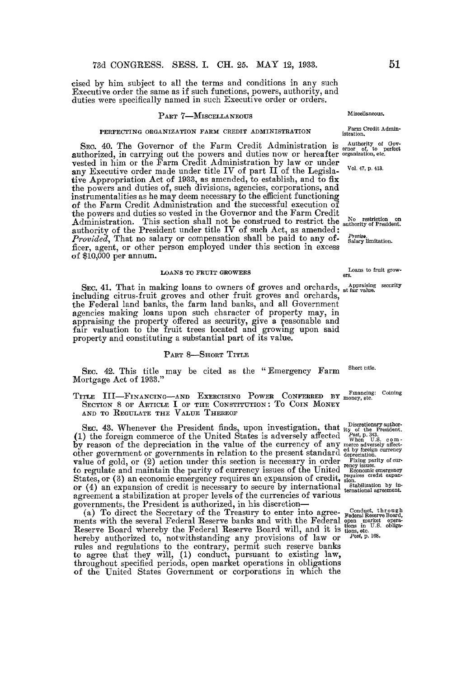cised by him subject to all the terms and conditions in any such Executive order the same as if such functions, powers, authority, and duties were specifically named in such Executive order or orders.

#### PART 7-MISCELLANEOUS

#### PERFECTING ORGANIZATION FARM CREDIT ADMINISTRATION

SEC. 40. The Governor of the Farm Credit Administration is  $_{\text{error of to perfect}}$  authorized, in carrying out the powers and duties now or hereafter organization, etc. vested in him or the Farm Credit Administration by law or under any Executive order made under title IV of part II of the Legislative Appropriation Act of 1933, as amended, to establish, and to fix the powers and duties of, such divisions, agencies, corporations, and instrumentalities as he may deem necessary to the efficient functioning of the Farm Credit Administration and the successful execution of the powers and duties so vested in the Governor and the Farm Credit Administration. This section shall not be construed to restrict the  $\frac{N}{\text{subtoity of President}}$  authority of the President under title IV of such Act, as amended: *Provided*, That no salary or compensation shall be paid to any of- $\frac{S_{\text{Dary}}}{\text{Sahary limitation}}$ . ficer, agent, or other person employed under this section in excess of \$10,000 per annum.

## LOANS TO FRUIT GROWERS

Sec. 41. That in making loans to owners of groves and orchards,  $\frac{\text{Apprasing security}}{\text{at far value}}$ including citrus-fruit groves and other fruit groves and orchards, the Federal land banks, the farm land banks, and all Government agencies making loans upon such character of property may, in appraising the property offered as security, give a reasonable and fair valuation to the fruit trees located and growing upon said property and constituting a substantial part of its value.

#### PART 8-SHORT TITLE

SEC. 42. This title may be cited as the "Emergency Farm Mortgage Act of 1933." Short title.

TITLE III-FINANCING-AND EXERCISING POWER CONFERRED BY money, etc . SECTION 8 OF ARTICLE I OF THE CONSTITUTION: TO COIN MONEY AND TO REGULATE THE VALUE THEREOF

SEC. 43. Whenever the President finds, upon investigation, that (1) the foreign commerce of the United States is adversely affected by reason of the depreciation in the value of the currency of any other government or governments in relation to the present standard value of gold, or (2) action under this section is necessary in order to regulate and maintain the parity of currency issues of the United States, or (3) an economic emergency requires an expansion of credit, or (4) an expansion of credit is necessary to secure by international agreement a stabilization at proper levels of the currencies of various governments, the President is authorized, in his discretion governments, the President is authorized, in his discretion-

(a) To direct the Secretary of the Treasury to enter into agreements with the several Federal Reserve banks and with the Federal Reserve Board whereby the Federal Reserve Board will, and it is hereby authorized to, notwithstanding any provisions of law or rules and regulations to the contrary, permit such reserve banks to agree that they will, (1) conduct, pursuant to existing law, throughout specified periods, open market operations in obligations of the United States Government or corporations in which the

Miscellaneous.

Farm Credit Admin-istration .

Vol. 47, p. 413.

Loans to fruit growers .

Financing: Coining

Discretionary author-<br> *Post*, p. 343.<br>
When U.S. com-<br>
When U.S. com-<br>
depreciation.<br>
depreciation currency<br>
depreciation.<br>
Fixing parity of currency issues.

Economic emergency requires credit expan-sion . Stabilization by in-ternational agreement.

Conduct, through<br>Federal Reserve Board,<br>open market opera-<br>tions in U.S. obliga-<br>tions, etc.<br>Post, p. 168.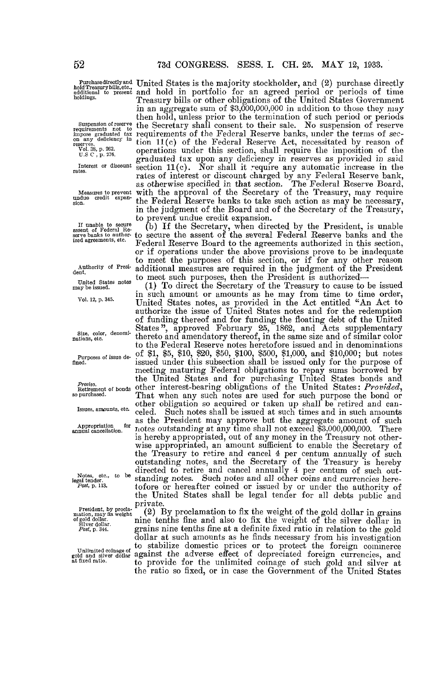holdings .

Suspension of reserve requirements not to impose graduated tax on any deficiency in

reserves . Vol . 38, p . 262. U .S C , p. 276.

Interest or discount rates.

Measures to prevent undue credit expansion .

If unable to secure assent of Federal Re-serve banks to author-ized agreements, etc.

Authority of President.

United States notes may be issued.

Vol. 12, p. 345.

Size, color, denominations, etc.

Purposes of issue defined .

Proviso . Retirement of bonds so purchased .

Issues, amounts, etc.

Appropriation for<br>annual cancellation.

Notes, etc., to be<br>legal tender.<br>*Post*, p. 113.

Private.<br>
private. (2) B<br>
mation, may fix weight. (2) B  $\sigma$  gold dollar.

United States is the majority stockholder, and (2) purchase directly nota reasury bills, etc.,<br>additional to present and hold in portfolio for an agreed period or periods of time Treasury bills or other obligations of the United States Government in an aggregate sum of \$3,000,000,000 in addition to those they may then hold, unless prior to the termination of such period or periods the Secretary shall consent to their sale . No suspension of reserve requirements of the Federal Reserve banks, under the terms of section 11(c) of the Federal Reserve Act, necessitated by reason of operations under this section, shall require the imposition of the graduated tax upon any deficiency in reserves as provided in said section 11(c) . Nor shall it require any automatic increase in the rates of interest or discount charged by any Federal Reserve bank, as otherwise specified in that section. The Federal Reserve Board, with the approval of the Secretary of the Treasury, may require the Federal Reserve banks to take such action as may be necessary, in the judgment of the Board and of the Secretary of the Treasury, to prevent undue credit expansion. Purchasedirectly and United States is the majority stockholder, and (2) purchase directly

> (b) If the Secretary, when directed by the President, is unable to secure the assent of the several Federal Reserve banks and the Federal Reserve Board to the agreements authorized in this section, or if operations under the above provisions prove to be inadequate to meet the purposes of this section, or if for any other reason additional measures are required in the judgment of the President to meet such purposes, then the President is authorized-

> (1) To direct the Secretary of the Treasury to cause to be issued in such amount or amounts as he may from time to time order United States notes, as provided in the Act entitled "An Act to authorize the issue of United States notes and for the redemption of funding thereof and for funding the floating debt of the United States", approved February 25, 1862, and Acts supplementary thereto and amendatory thereof, in the same size and of similar color to the Federal Reserve notes heretofore issued and in denominations of \$1, \$5, \$10, \$20, \$50, \$100, \$500, \$1,000, and \$10,000 ; but notes issued under this subsection shall be issued only for the purpose of meeting maturing Federal obligations to repay sums borrowed by the United States and for purchasing United States bonds and other interest-bearing obligations of the United States: Provided, That when any such notes are used for such purpose the bond or other obligation so acquired or taken up shall be retired and canceled. Such notes shall be issued at such times and in such amounts as the President may approve but the aggregate amount of such notes outstanding at any time shall not exceed \$3,000,000,000 . There is hereby appropriated, out of any money in the Treasury not otherwise appropriated, an amount sufficient to enable the Secretary of wise appropriated, an amount sufficient to enable the Secretary of the Treasury to retire and cancel 4 per centum annually of such outstanding notes, and the Secretary of the Treasury is hereby directed to retire and cancel annually 4 per centum of such outstanding notes. Such notes and all other coins and currencies heretofore or hereafter coined or issued by or under the authority of the United States shall be legal tender for all debts public and

(2) By proclamation to fix the weight of the gold dollar in grains nine tenths fine and also to fix the weight of the silver dollar in grains nine tenths fine at a definite fixed ratio in relation to the gold dollar at such amounts as he finds necessary from his investigation to stabilize domestic prices or to protect the foreign commerce on minute consider the adverse effect of depreciated foreign currencies, and<br>at fixed ratio.<br>at fixed ratio. to provide for the unlimited coinage of such gold and silver at the ratio so fixed, or in case the Government of the United States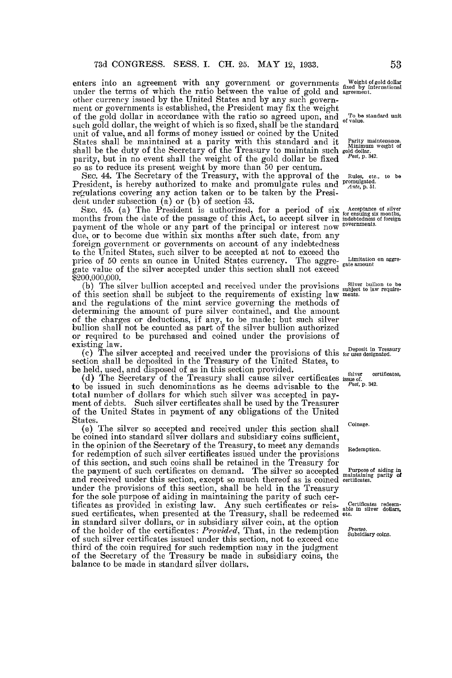enters into an agreement with any government or governments under the terms of which the ratio between the value of gold and other currency issued by the United States and by any such government or governments is established, the President may fix the weight of the gold dollar in accordance with the ratio so agreed upon, and such gold dollar, the weight of which is so fixed, shall be the standard unit of value, and all forms of money issued or coined by the United States shall be maintained at a parity with this standard and it shall be the duty of the Secretary of the Treasury to maintain such parity, but in no event shall the weight of the gold dollar be fixed so as to reduce its present weight by more than 50 per centum.

SEC. 44. The Secretary of the Treasury, with the approval of the President, is hereby authorized to make and promulgate rules and regulations covering any action taken or to be taken by the President under subsection (a) or (b) of section 43 .

 $\rm{Sec.}$  45. (a) The President is authorized, for a period of six months from the date of the passage of this Act, to accept silver in payment of the whole or any part of the principal or interest now due, or to become due within six months after such date, from any foreign government or governments on account of any indebtedness to the United States, such silver to be accepted at not to exceed the price of 50 cents an ounce in United States currency. The aggreate value of the silver accepted under this section shall not exceed 200,000,000 .

(b) The silver bullion accepted and received under the provisions of this section shall be subject to the requirements of existing law and the regulations of the mint service governing the methods of determining the amount of pure silver contained, and the amount of the charges or deductions, if any, to be made ; but such silver bullion shall not be counted as part of the silver bullion authorized or required to be purchased and coined under the provisions of existing law.

(c) The silver accepted and received under the provisions of this section shall be deposited in the Treasury of the United States, to be held, used, and disposed of as in this section provided .

(d) The Secretary of the Treasury shall cause silver certificates  $\frac{1}{1000}$  and  $\frac{1}{1000}$  be issued in such denominations as he deems advisable to the  $P^{ost, p. 342}$ . to be issued in such denominations as he deems advisable to the total number of dollars for which such silver was accepted in payment of debts. Such silver certificates shall be used by the Treasurer of the United States in payment of any obligations of the United **States** 

(e) The silver so accepted and received under this section shall be coined into standard silver dollars and subsidiary coins sufficient, in the opinion of the Secretary of the Treasury, to meet any demands for redemption of such silver certificates issued under the provisions of this section, and such coins shall be retained in the Treasury for of this section, and such coins shall be retained in the Treasury for the payment of such certificates on demand. The silver so accepted and received under this section, except so much thereof as is coined under the provisions of this section, shall be held in the Treasury for the sole purpose of aiding in maintaining the parity of such cerfor the sole purpose of aiding in maintaining the parity of such certificates as provided in existing law. Any such certificates or reissued certificates, when presented at the Treasury, shall be redeemed in standard silver dollars, or in subsidiary silver coin, at the option of the holder of the certificates: *Provided*, That, in the redemption of such silver certificates issued under this section, not to exceed one third of the coin required for such redemption may in the judgment of the Secretary of the Treasury be made in subsidiary coins, the balance to be made in standard silver dollars.

Weight of gold dollar fixed by international agreement .

To be standard unit of value.

Parity maintenance.<br>Minimum weight of<br>gold dollar.<br>*Post*, p. 342.

Rules, etc., to be<br>promulgated.<br>Ante, p. 51.

Acceptance of silver for ensuing six months, indebtedness of foreign governments.

Limitation on aggregate amount

Silver bullion to be subject to law require-ments .

Deposit in Treasury for uses designated .

certificates,

Coinage .

Redemption.

Purpose of aiding in maintaining parity of certificates.

Certificates redeem-able in silver dollars, etc.

r*rotuo.*<br>Subsid<mark>iary coins</mark>.